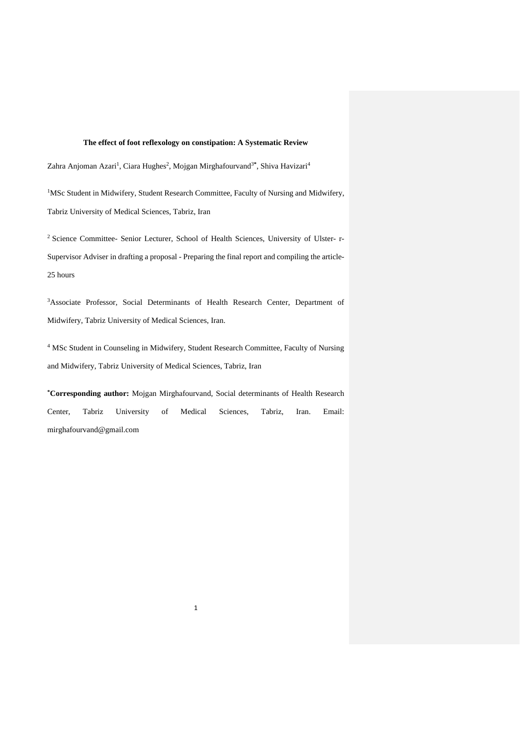### **The effect of foot reflexology on constipation: A Systematic Review**

Zahra Anjoman Azari<sup>1</sup>, Ciara Hughes<sup>2</sup>, Mojgan Mirghafourvand<sup>3\*</sup>, Shiva Havizari<sup>4</sup>

<sup>1</sup>MSc Student in Midwifery, Student Research Committee, Faculty of Nursing and Midwifery, Tabriz University of Medical Sciences, Tabriz, Iran

<sup>2</sup> Science Committee- Senior Lecturer, School of Health Sciences, University of Ulster- r-Supervisor Adviser in drafting a proposal - Preparing the final report and compiling the article-25 hours

<sup>3</sup>Associate Professor, Social Determinants of Health Research Center, Department of Midwifery, Tabriz University of Medical Sciences, Iran.

<sup>4</sup> MSc Student in Counseling in Midwifery, Student Research Committee, Faculty of Nursing and Midwifery, Tabriz University of Medical Sciences, Tabriz, Iran

**\*Corresponding author:** Mojgan Mirghafourvand, Social determinants of Health Research Center, Tabriz University of Medical Sciences, Tabriz, Iran. Email: [mirghafourvand@gmail.com](mailto:mirghafourvand@gmail.com)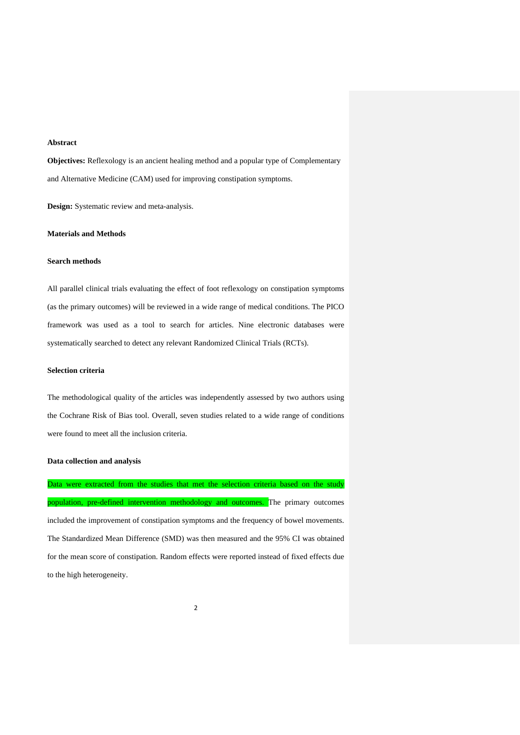# **Abstract**

**Objectives:** Reflexology is an ancient healing method and a popular type of Complementary and Alternative Medicine (CAM) used for improving constipation symptoms.

**Design:** Systematic review and meta-analysis.

# **Materials and Methods**

## **Search methods**

All parallel clinical trials evaluating the effect of foot reflexology on constipation symptoms (as the primary outcomes) will be reviewed in a wide range of medical conditions. The PICO framework was used as a tool to search for articles. Nine electronic databases were systematically searched to detect any relevant Randomized Clinical Trials (RCTs).

## **Selection criteria**

The methodological quality of the articles was independently assessed by two authors using the Cochrane Risk of Bias tool. Overall, seven studies related to a wide range of conditions were found to meet all the inclusion criteria.

#### **Data collection and analysis**

Data were extracted from the studies that met the selection criteria based on the study population, pre-defined intervention methodology and outcomes. The primary outcomes included the improvement of constipation symptoms and the frequency of bowel movements. The Standardized Mean Difference (SMD) was then measured and the 95% CI was obtained for the mean score of constipation. Random effects were reported instead of fixed effects due to the high heterogeneity.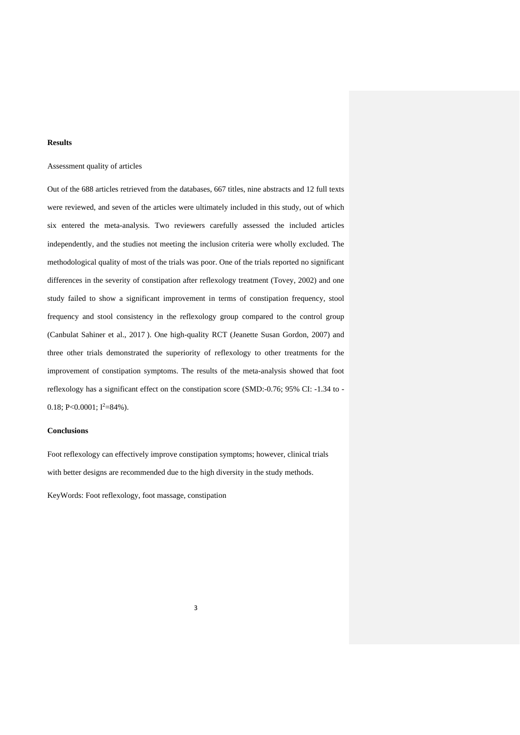# **Results**

### Assessment quality of articles

Out of the 688 articles retrieved from the databases, 667 titles, nine abstracts and 12 full texts were reviewed, and seven of the articles were ultimately included in this study, out of which six entered the meta-analysis. Two reviewers carefully assessed the included articles independently, and the studies not meeting the inclusion criteria were wholly excluded. The methodological quality of most of the trials was poor. One of the trials reported no significant differences in the severity of constipation after reflexology treatment (Tovey, 2002) and one study failed to show a significant improvement in terms of constipation frequency, stool frequency and stool consistency in the reflexology group compared to the control group (Canbulat Sahiner et al., 2017 ). One high-quality RCT (Jeanette Susan Gordon, 2007) and three other trials demonstrated the superiority of reflexology to other treatments for the improvement of constipation symptoms. The results of the meta-analysis showed that foot reflexology has a significant effect on the constipation score (SMD:-0.76; 95% CI: -1.34 to - 0.18; P<0.0001;  $I^2 = 84\%$ ).

#### **Conclusions**

Foot reflexology can effectively improve constipation symptoms; however, clinical trials with better designs are recommended due to the high diversity in the study methods.

KeyWords: Foot reflexology, foot massage, constipation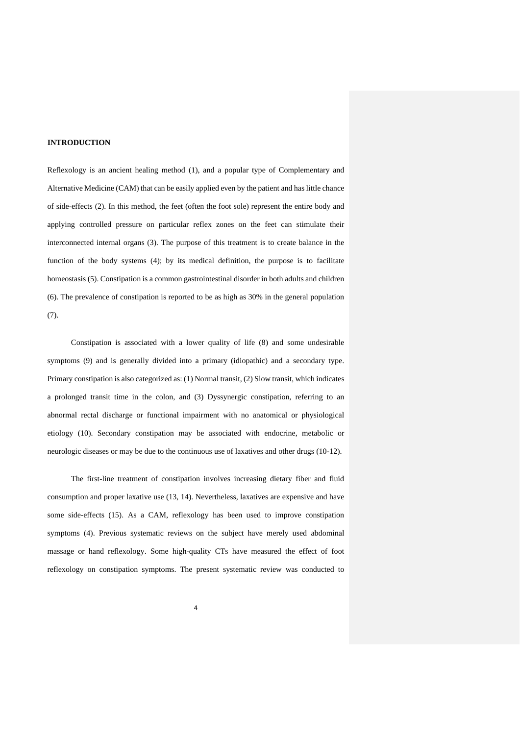# **INTRODUCTION**

Reflexology is an ancient healing method [\(1\)](#page-13-0), and a popular type of Complementary and Alternative Medicine (CAM) that can be easily applied even by the patient and has little chance of side-effects [\(2\)](#page-13-1). In this method, the feet (often the foot sole) represent the entire body and applying controlled pressure on particular reflex zones on the feet can stimulate their interconnected internal organs [\(3\)](#page-13-2). The purpose of this treatment is to create balance in the function of the body systems [\(4\)](#page-13-3); by its medical definition, the purpose is to facilitate homeostasis [\(5\)](#page-13-4). Constipation is a common gastrointestinal disorder in both adults and children [\(6\)](#page-13-5). The prevalence of constipation is reported to be as high as 30% in the general population [\(7\)](#page-13-6).

Constipation is associated with a lower quality of life [\(8\)](#page-13-7) and some undesirable symptoms [\(9\)](#page-13-8) and is generally divided into a primary (idiopathic) and a secondary type. Primary constipation is also categorized as: (1) Normal transit, (2) Slow transit, which indicates a prolonged transit time in the colon, and (3) Dyssynergic constipation, referring to an abnormal rectal discharge or functional impairment with no anatomical or physiological etiology [\(10\)](#page-13-9). Secondary constipation may be associated with endocrine, metabolic or neurologic diseases or may be due to the continuous use of laxatives and other drugs [\(10-12\)](#page-13-9).

The first-line treatment of constipation involves increasing dietary fiber and fluid consumption and proper laxative use [\(13,](#page-13-10) [14\)](#page-13-11). Nevertheless, laxatives are expensive and have some side-effects [\(15\)](#page-13-12). As a CAM, reflexology has been used to improve constipation symptoms [\(4\)](#page-13-3). Previous systematic reviews on the subject have merely used abdominal massage or hand reflexology. Some high-quality CTs have measured the effect of foot reflexology on constipation symptoms. The present systematic review was conducted to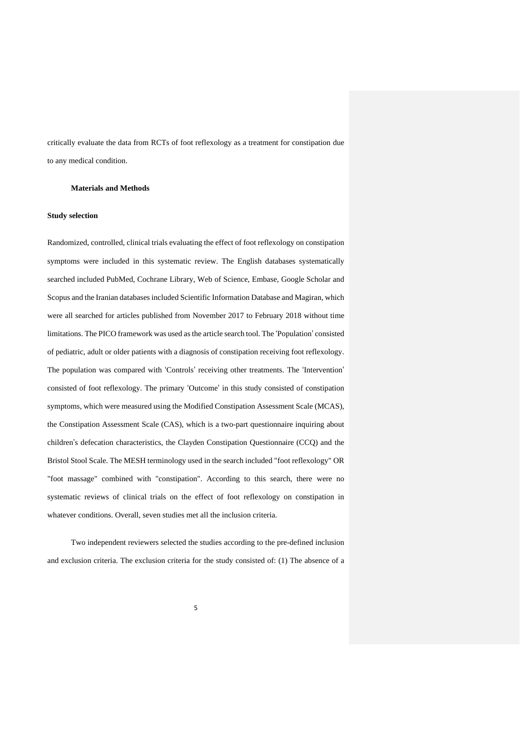critically evaluate the data from RCTs of foot reflexology as a treatment for constipation due to any medical condition.

### **Materials and Methods**

## **Study selection**

Randomized, controlled, clinical trials evaluating the effect of foot reflexology on constipation symptoms were included in this systematic review. The English databases systematically searched included PubMed, Cochrane Library, Web of Science, Embase, Google Scholar and Scopus and the Iranian databases included Scientific Information Database and Magiran, which were all searched for articles published from November 2017 to February 2018 without time limitations. The PICO framework was used as the article search tool. The 'Population' consisted of pediatric, adult or older patients with a diagnosis of constipation receiving foot reflexology. The population was compared with 'Controls' receiving other treatments. The 'Intervention' consisted of foot reflexology. The primary 'Outcome' in this study consisted of constipation symptoms, which were measured using the Modified Constipation Assessment Scale (MCAS), the Constipation Assessment Scale (CAS), which is a two-part questionnaire inquiring about children's defecation characteristics, the Clayden Constipation Questionnaire (CCQ) and the Bristol Stool Scale. The MESH terminology used in the search included "foot reflexology" OR "foot massage" combined with "constipation". According to this search, there were no systematic reviews of clinical trials on the effect of foot reflexology on constipation in whatever conditions. Overall, seven studies met all the inclusion criteria.

Two independent reviewers selected the studies according to the pre-defined inclusion and exclusion criteria. The exclusion criteria for the study consisted of: (1) The absence of a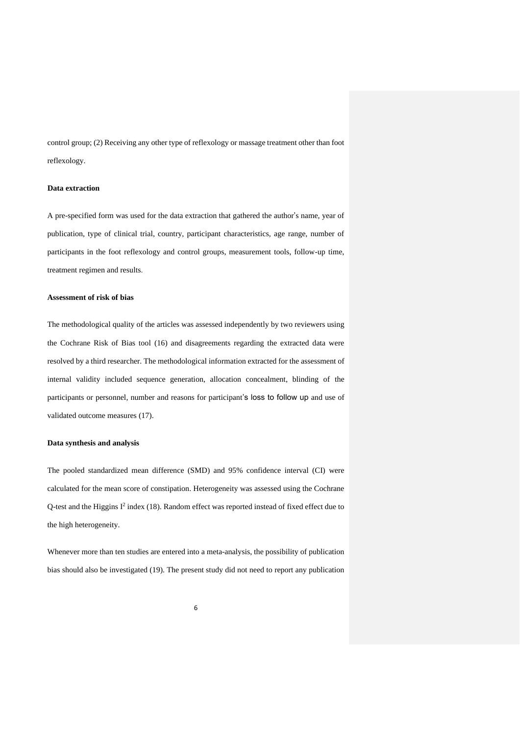control group; (2) Receiving any other type of reflexology or massage treatment other than foot reflexology.

## **Data extraction**

A pre-specified form was used for the data extraction that gathered the author's name, year of publication, type of clinical trial, country, participant characteristics, age range, number of participants in the foot reflexology and control groups, measurement tools, follow-up time, treatment regimen and results .

### **Assessment of risk of bias**

The methodological quality of the articles was assessed independently by two reviewers using the Cochrane Risk of Bias tool [\(16\)](#page-14-0) and disagreements regarding the extracted data were resolved by a third researcher. The methodological information extracted for the assessment of internal validity included sequence generation, allocation concealment, blinding of the participants or personnel, number and reasons for participant's loss to follow up and use of validated outcome measures [\(17\)](#page-14-1).

### **Data synthesis and analysis**

The pooled standardized mean difference (SMD) and 95% confidence interval (CI) were calculated for the mean score of constipation. Heterogeneity was assessed using the Cochrane Q-test and the Higgins  $I^2$  index [\(18\)](#page-14-2). Random effect was reported instead of fixed effect due to the high heterogeneity.

Whenever more than ten studies are entered into a meta-analysis, the possibility of publication bias should also be investigated [\(19\)](#page-14-3). The present study did not need to report any publication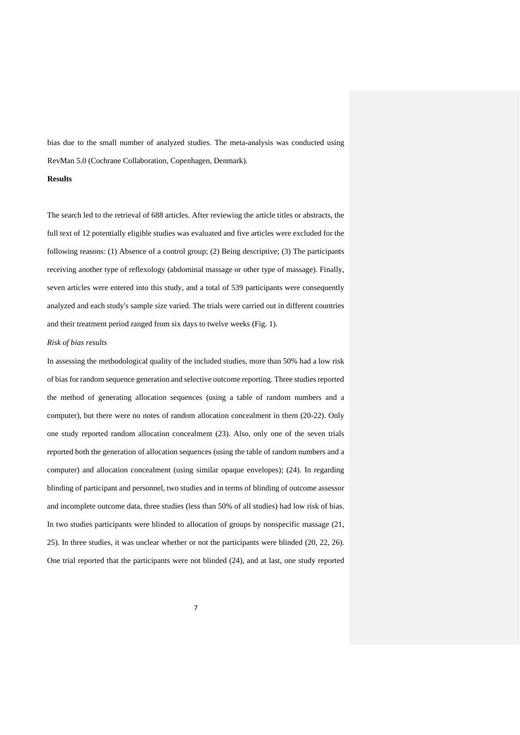bias due to the small number of analyzed studies. The meta-analysis was conducted using RevMan 5.0 (Cochrane Collaboration, Copenhagen, Denmark).

### **Results**

The search led to the retrieval of 688 articles. After reviewing the article titles or abstracts, the full text of 12 potentially eligible studies was evaluated and five articles were excluded for the following reasons: (1) Absence of a control group; (2) Being descriptive; (3) The participants receiving another type of reflexology (abdominal massage or other type of massage). Finally, seven articles were entered into this study, and a total of 539 participants were consequently analyzed and each study's sample size varied. The trials were carried out in different countries and their treatment period ranged from six days to twelve weeks (Fig. 1).

### *Risk of bias results*

In assessing the methodological quality of the included studies, more than 50% had a low risk of bias for random sequence generation and selective outcome reporting. Three studies reported the method of generating allocation sequences (using a table of random numbers and a computer), but there were no notes of random allocation concealment in them [\(20-22\)](#page-14-4). Only one study reported random allocation concealment [\(23\)](#page-14-5). Also, only one of the seven trials reported both the generation of allocation sequences (using the table of random numbers and a computer) and allocation concealment (using similar opaque envelopes); [\(24\)](#page-14-6). In regarding blinding of participant and personnel, two studies and in terms of blinding of outcome assessor and incomplete outcome data, three studies (less than 50% of all studies) had low risk of bias. In two studies participants were blinded to allocation of groups by nonspecific massage [\(21,](#page-14-7) [25\)](#page-14-8). In three studies, it was unclear whether or not the participants were blinded [\(20,](#page-14-4) [22,](#page-14-9) [26\)](#page-14-10). One trial reported that the participants were not blinded [\(24\)](#page-14-6), and at last, one study reported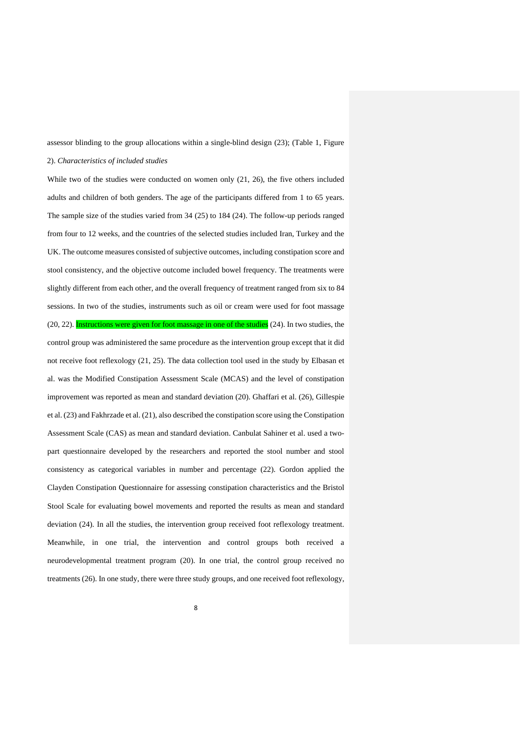assessor blinding to the group allocations within a single-blind design [\(23\)](#page-14-5); (Table 1, Figure 2). *Characteristics of included studies*

While two of the studies were conducted on women only [\(21,](#page-14-7) [26\)](#page-14-10), the five others included adults and children of both genders. The age of the participants differed from 1 to 65 years. The sample size of the studies varied from 34 [\(25\)](#page-14-8) to 184 [\(24\)](#page-14-6). The follow-up periods ranged from four to 12 weeks, and the countries of the selected studies included Iran, Turkey and the UK. The outcome measures consisted of subjective outcomes, including constipation score and stool consistency, and the objective outcome included bowel frequency. The treatments were slightly different from each other, and the overall frequency of treatment ranged from six to 84 sessions. In two of the studies, instruments such as oil or cream were used for foot massage [\(20,](#page-14-4) [22\)](#page-14-9). Instructions were given for foot massage in one of the studies [\(24\)](#page-14-6). In two studies, the control group was administered the same procedure as the intervention group except that it did not receive foot reflexology [\(21,](#page-14-7) [25\)](#page-14-8). The data collection tool used in the study by Elbasan et al. was the Modified Constipation Assessment Scale (MCAS) and the level of constipation improvement was reported as mean and standard deviation [\(20\)](#page-14-4). Ghaffari et al. [\(26\)](#page-14-10), Gillespie et al. [\(23\)](#page-14-5) and Fakhrzade et al. [\(21\)](#page-14-7), also described the constipation score using the Constipation Assessment Scale (CAS) as mean and standard deviation. Canbulat Sahiner et al. used a twopart questionnaire developed by the researchers and reported the stool number and stool consistency as categorical variables in number and percentage [\(22\)](#page-14-9). Gordon applied the Clayden Constipation Questionnaire for assessing constipation characteristics and the Bristol Stool Scale for evaluating bowel movements and reported the results as mean and standard deviation [\(24\)](#page-14-6). In all the studies, the intervention group received foot reflexology treatment. Meanwhile, in one trial, the intervention and control groups both received a neurodevelopmental treatment program [\(20\)](#page-14-4). In one trial, the control group received no treatments [\(26\)](#page-14-10). In one study, there were three study groups, and one received foot reflexology,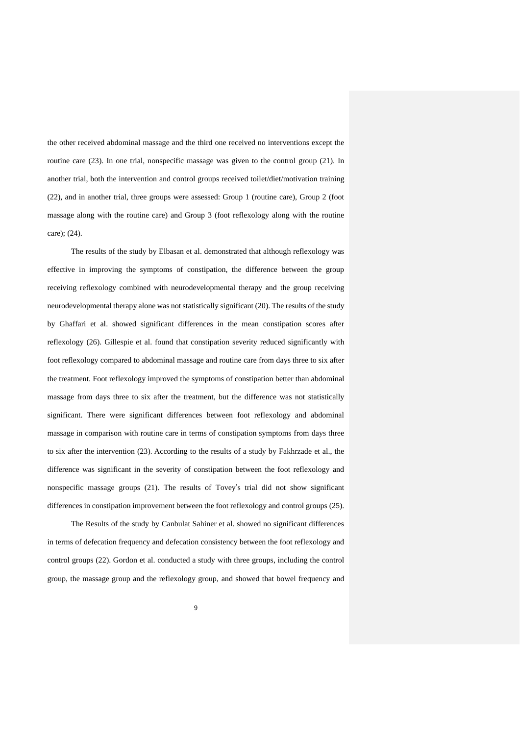the other received abdominal massage and the third one received no interventions except the routine care [\(23\)](#page-14-5). In one trial, nonspecific massage was given to the control group [\(21\)](#page-14-7). In another trial, both the intervention and control groups received toilet/diet/motivation training [\(22\)](#page-14-9), and in another trial, three groups were assessed: Group 1 (routine care), Group 2 (foot massage along with the routine care) and Group 3 (foot reflexology along with the routine care); [\(24\)](#page-14-6).

The results of the study by Elbasan et al. demonstrated that although reflexology was effective in improving the symptoms of constipation, the difference between the group receiving reflexology combined with neurodevelopmental therapy and the group receiving neurodevelopmental therapy alone was not statistically significant [\(20\)](#page-14-4). The results of the study by Ghaffari et al. showed significant differences in the mean constipation scores after reflexology [\(26\)](#page-14-10). Gillespie et al. found that constipation severity reduced significantly with foot reflexology compared to abdominal massage and routine care from days three to six after the treatment. Foot reflexology improved the symptoms of constipation better than abdominal massage from days three to six after the treatment, but the difference was not statistically significant. There were significant differences between foot reflexology and abdominal massage in comparison with routine care in terms of constipation symptoms from days three to six after the intervention [\(23\)](#page-14-5). According to the results of a study by Fakhrzade et al., the difference was significant in the severity of constipation between the foot reflexology and nonspecific massage groups [\(21\)](#page-14-7). The results of Tovey's trial did not show significant differences in constipation improvement between the foot reflexology and control groups [\(25\)](#page-14-8).

The Results of the study by Canbulat Sahiner et al. showed no significant differences in terms of defecation frequency and defecation consistency between the foot reflexology and control groups [\(22\)](#page-14-9). Gordon et al. conducted a study with three groups, including the control group, the massage group and the reflexology group, and showed that bowel frequency and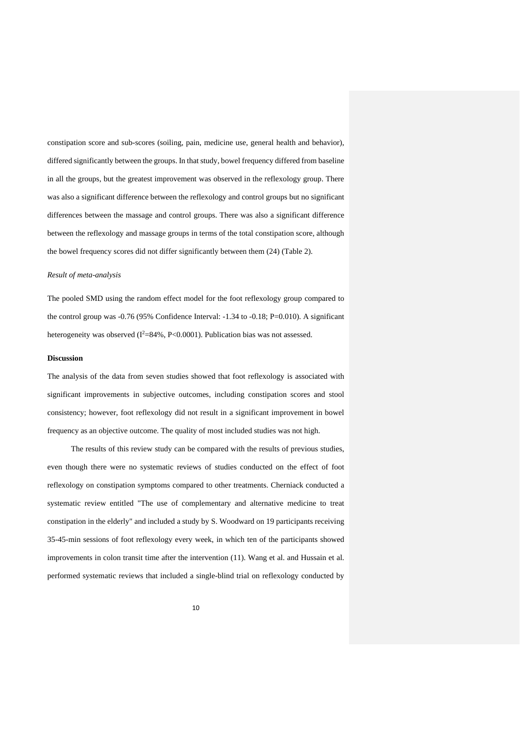constipation score and sub-scores (soiling, pain, medicine use, general health and behavior), differed significantly between the groups. In that study, bowel frequency differed from baseline in all the groups, but the greatest improvement was observed in the reflexology group. There was also a significant difference between the reflexology and control groups but no significant differences between the massage and control groups. There was also a significant difference between the reflexology and massage groups in terms of the total constipation score, although the bowel frequency scores did not differ significantly between them [\(24\)](#page-14-6) (Table 2).

### *Result of meta-analysis*

The pooled SMD using the random effect model for the foot reflexology group compared to the control group was -0.76 (95% Confidence Interval: -1.34 to -0.18; P=0.010). A significant heterogeneity was observed ( $I^2 = 84\%$ , P<0.0001). Publication bias was not assessed.

## **Discussion**

The analysis of the data from seven studies showed that foot reflexology is associated with significant improvements in subjective outcomes, including constipation scores and stool consistency; however, foot reflexology did not result in a significant improvement in bowel frequency as an objective outcome. The quality of most included studies was not high.

The results of this review study can be compared with the results of previous studies, even though there were no systematic reviews of studies conducted on the effect of foot reflexology on constipation symptoms compared to other treatments. Cherniack conducted a systematic review entitled "The use of complementary and alternative medicine to treat constipation in the elderly" and included a study by S. Woodward on 19 participants receiving 35-45-min sessions of foot reflexology every week, in which ten of the participants showed improvements in colon transit time after the intervention [\(11\)](#page-13-13). Wang et al. and Hussain et al. performed systematic reviews that included a single-blind trial on reflexology conducted by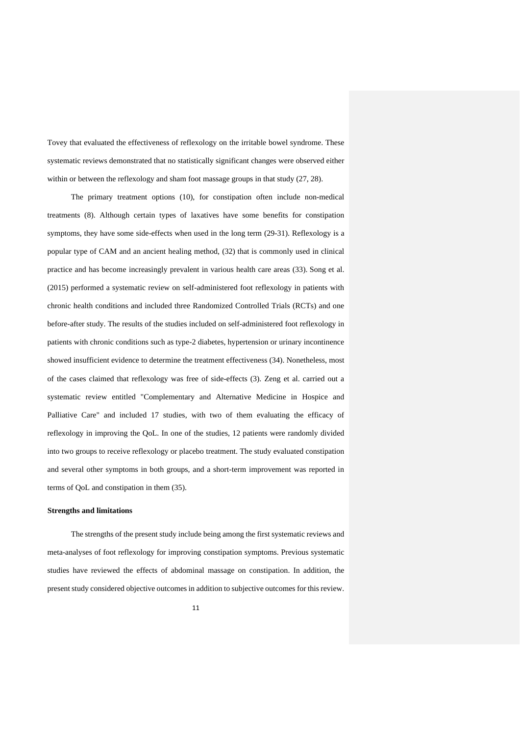Tovey that evaluated the effectiveness of reflexology on the irritable bowel syndrome. These systematic reviews demonstrated that no statistically significant changes were observed either within or between the reflexology and sham foot massage groups in that study  $(27, 28)$  $(27, 28)$ .

The primary treatment options [\(10\)](#page-13-9), for constipation often include non-medical treatments [\(8\)](#page-13-7). Although certain types of laxatives have some benefits for constipation symptoms, they have some side-effects when used in the long term [\(29-31\)](#page-14-13). Reflexology is a popular type of CAM and an ancient healing method, [\(32\)](#page-14-14) that is commonly used in clinical practice and has become increasingly prevalent in various health care areas [\(33\)](#page-14-15). Song et al. (2015) performed a systematic review on self-administered foot reflexology in patients with chronic health conditions and included three Randomized Controlled Trials (RCTs) and one before-after study. The results of the studies included on self-administered foot reflexology in patients with chronic conditions such as type-2 diabetes, hypertension or urinary incontinence showed insufficient evidence to determine the treatment effectiveness [\(34\)](#page-14-16). Nonetheless, most of the cases claimed that reflexology was free of side-effects [\(3\)](#page-13-2). Zeng et al. carried out a systematic review entitled "Complementary and Alternative Medicine in Hospice and Palliative Care" and included 17 studies, with two of them evaluating the efficacy of reflexology in improving the QoL. In one of the studies, 12 patients were randomly divided into two groups to receive reflexology or placebo treatment. The study evaluated constipation and several other symptoms in both groups, and a short-term improvement was reported in terms of QoL and constipation in them [\(35\)](#page-15-0).

#### **Strengths and limitations**

The strengths of the present study include being among the first systematic reviews and meta-analyses of foot reflexology for improving constipation symptoms. Previous systematic studies have reviewed the effects of abdominal massage on constipation. In addition, the present study considered objective outcomes in addition to subjective outcomes for this review.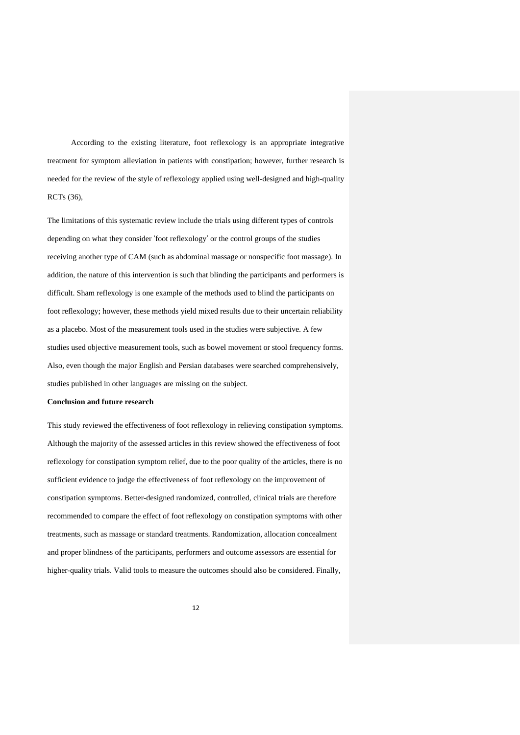According to the existing literature, foot reflexology is an appropriate integrative treatment for symptom alleviation in patients with constipation; however, further research is needed for the review of the style of reflexology applied using well-designed and high-quality RCTs [\(36\)](#page-15-1),

The limitations of this systematic review include the trials using different types of controls depending on what they consider 'foot reflexology' or the control groups of the studies receiving another type of CAM (such as abdominal massage or nonspecific foot massage). In addition, the nature of this intervention is such that blinding the participants and performers is difficult. Sham reflexology is one example of the methods used to blind the participants on foot reflexology; however, these methods yield mixed results due to their uncertain reliability as a placebo. Most of the measurement tools used in the studies were subjective. A few studies used objective measurement tools, such as bowel movement or stool frequency forms. Also, even though the major English and Persian databases were searched comprehensively, studies published in other languages are missing on the subject.

### **Conclusion and future research**

This study reviewed the effectiveness of foot reflexology in relieving constipation symptoms. Although the majority of the assessed articles in this review showed the effectiveness of foot reflexology for constipation symptom relief, due to the poor quality of the articles, there is no sufficient evidence to judge the effectiveness of foot reflexology on the improvement of constipation symptoms. Better-designed randomized, controlled, clinical trials are therefore recommended to compare the effect of foot reflexology on constipation symptoms with other treatments, such as massage or standard treatments. Randomization, allocation concealment and proper blindness of the participants, performers and outcome assessors are essential for higher-quality trials. Valid tools to measure the outcomes should also be considered. Finally,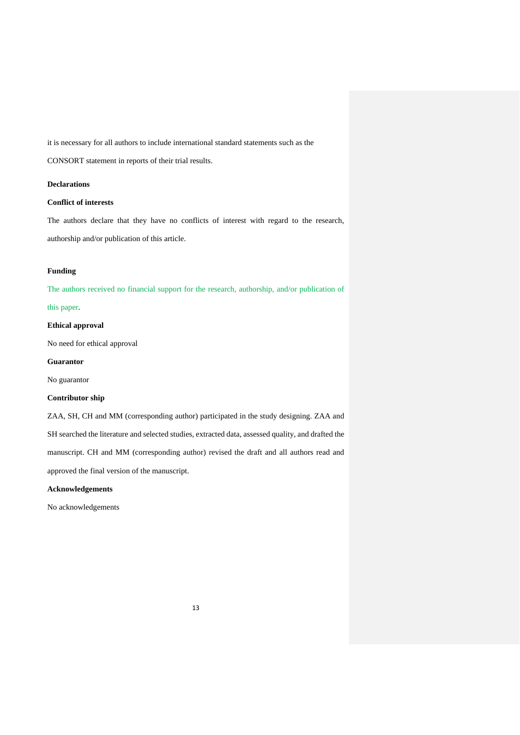it is necessary for all authors to include international standard statements such as the

CONSORT statement in reports of their trial results.

#### **Declarations**

# **Conflict of interests**

The authors declare that they have no conflicts of interest with regard to the research, authorship and/or publication of this article.

### **Funding**

The authors received no financial support for the research, authorship, and/or publication of

### this paper.

## **Ethical approval**

No need for ethical approval

#### **Guarantor**

No guarantor

# **Contributor ship**

ZAA, SH, CH and MM (corresponding author) participated in the study designing. ZAA and SH searched the literature and selected studies, extracted data, assessed quality, and drafted the manuscript. CH and MM (corresponding author) revised the draft and all authors read and approved the final version of the manuscript.

### **Acknowledgements**

No acknowledgements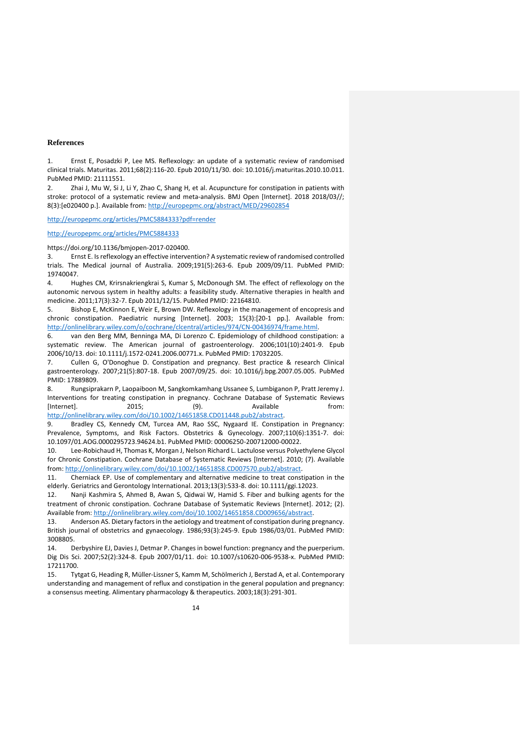### **References**

<span id="page-13-0"></span>1. Ernst E, Posadzki P, Lee MS. Reflexology: an update of a systematic review of randomised clinical trials. Maturitas. 2011;68(2):116-20. Epub 2010/11/30. doi: 10.1016/j.maturitas.2010.10.011. PubMed PMID: 21111551.

<span id="page-13-1"></span>2. Zhai J, Mu W, Si J, Li Y, Zhao C, Shang H, et al. Acupuncture for constipation in patients with stroke: protocol of a systematic review and meta-analysis. BMJ Open [Internet]. 2018 2018/03//; 8(3):[e020400 p.]. Available from:<http://europepmc.org/abstract/MED/29602854>

<http://europepmc.org/articles/PMC5884333?pdf=render>

### <http://europepmc.org/articles/PMC5884333>

https://doi.org/10.1136/bmjopen-2017-020400.

<span id="page-13-2"></span>3. Ernst E. Is reflexology an effective intervention? A systematic review of randomised controlled trials. The Medical journal of Australia. 2009;191(5):263-6. Epub 2009/09/11. PubMed PMID: 19740047.

<span id="page-13-3"></span>4. Hughes CM, Krirsnakriengkrai S, Kumar S, McDonough SM. The effect of reflexology on the autonomic nervous system in healthy adults: a feasibility study. Alternative therapies in health and medicine. 2011;17(3):32-7. Epub 2011/12/15. PubMed PMID: 22164810.

<span id="page-13-4"></span>5. Bishop E, McKinnon E, Weir E, Brown DW. Reflexology in the management of encopresis and chronic constipation. Paediatric nursing [Internet]. 2003; 15(3):[20-1 pp.]. Available from: [http://onlinelibrary.wiley.com/o/cochrane/clcentral/articles/974/CN-00436974/frame.html.](http://onlinelibrary.wiley.com/o/cochrane/clcentral/articles/974/CN-00436974/frame.html)

<span id="page-13-5"></span>6. van den Berg MM, Benninga MA, Di Lorenzo C. Epidemiology of childhood constipation: a systematic review. The American journal of gastroenterology. 2006;101(10):2401-9. Epub 2006/10/13. doi: 10.1111/j.1572-0241.2006.00771.x. PubMed PMID: 17032205.

<span id="page-13-6"></span>7. Cullen G, O'Donoghue D. Constipation and pregnancy. Best practice & research Clinical gastroenterology. 2007;21(5):807-18. Epub 2007/09/25. doi: 10.1016/j.bpg.2007.05.005. PubMed PMID: 17889809.

<span id="page-13-7"></span>8. Rungsiprakarn P, Laopaiboon M, Sangkomkamhang Ussanee S, Lumbiganon P, Pratt Jeremy J. Interventions for treating constipation in pregnancy. Cochrane Database of Systematic Reviews [Internet]. 2015; (9). Available from: [http://onlinelibrary.wiley.com/doi/10.1002/14651858.CD011448.pub2/abstract.](http://onlinelibrary.wiley.com/doi/10.1002/14651858.CD011448.pub2/abstract)

<span id="page-13-8"></span>9. Bradley CS, Kennedy CM, Turcea AM, Rao SSC, Nygaard IE. Constipation in Pregnancy: Prevalence, Symptoms, and Risk Factors. Obstetrics & Gynecology. 2007;110(6):1351-7. doi: 10.1097/01.AOG.0000295723.94624.b1. PubMed PMID: 00006250-200712000-00022.

<span id="page-13-9"></span>10. Lee-Robichaud H, Thomas K, Morgan J, Nelson Richard L. Lactulose versus Polyethylene Glycol for Chronic Constipation. Cochrane Database of Systematic Reviews [Internet]. 2010; (7). Available from: [http://onlinelibrary.wiley.com/doi/10.1002/14651858.CD007570.pub2/abstract.](http://onlinelibrary.wiley.com/doi/10.1002/14651858.CD007570.pub2/abstract)

<span id="page-13-13"></span>11. Cherniack EP. Use of complementary and alternative medicine to treat constipation in the elderly. Geriatrics and Gerontology International. 2013;13(3):533-8. doi: 10.1111/ggi.12023.

12. Nanji Kashmira S, Ahmed B, Awan S, Qidwai W, Hamid S. Fiber and bulking agents for the treatment of chronic constipation. Cochrane Database of Systematic Reviews [Internet]. 2012; (2). Available from: [http://onlinelibrary.wiley.com/doi/10.1002/14651858.CD009656/abstract.](http://onlinelibrary.wiley.com/doi/10.1002/14651858.CD009656/abstract)

<span id="page-13-10"></span>13. Anderson AS. Dietary factors in the aetiology and treatment of constipation during pregnancy. British journal of obstetrics and gynaecology. 1986;93(3):245-9. Epub 1986/03/01. PubMed PMID: 3008805.

<span id="page-13-11"></span>14. Derbyshire EJ, Davies J, Detmar P. Changes in bowel function: pregnancy and the puerperium. Dig Dis Sci. 2007;52(2):324-8. Epub 2007/01/11. doi: 10.1007/s10620-006-9538-x. PubMed PMID: 17211700.

<span id="page-13-12"></span>15. Tytgat G, Heading R, Müller‐Lissner S, Kamm M, Schölmerich J, Berstad A, et al. Contemporary understanding and management of reflux and constipation in the general population and pregnancy: a consensus meeting. Alimentary pharmacology & therapeutics. 2003;18(3):291-301.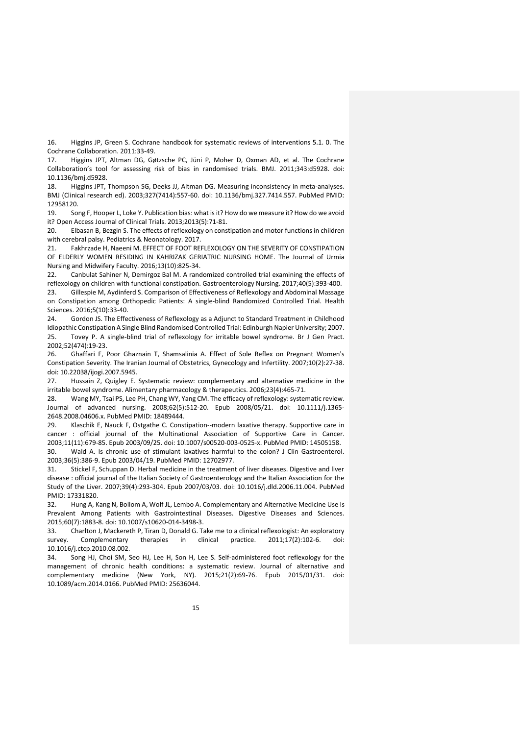<span id="page-14-23"></span><span id="page-14-22"></span><span id="page-14-21"></span><span id="page-14-20"></span><span id="page-14-19"></span><span id="page-14-18"></span><span id="page-14-17"></span><span id="page-14-0"></span>16. Higgins JP, Green S. Cochrane handbook for systematic reviews of interventions 5.1. 0. The Cochrane Collaboration. 2011:33-49.

<span id="page-14-1"></span>17. Higgins JPT, Altman DG, Gøtzsche PC, Jüni P, Moher D, Oxman AD, et al. The Cochrane Collaboration's tool for assessing risk of bias in randomised trials. BMJ. 2011;343:d5928. doi: 10.1136/bmj.d5928.

<span id="page-14-2"></span>18. Higgins JPT, Thompson SG, Deeks JJ, Altman DG. Measuring inconsistency in meta-analyses. BMJ (Clinical research ed). 2003;327(7414):557-60. doi: 10.1136/bmj.327.7414.557. PubMed PMID: 12958120.

<span id="page-14-3"></span>19. Song F, Hooper L, Loke Y. Publication bias: what is it? How do we measure it? How do we avoid it? Open Access Journal of Clinical Trials. 2013;2013(5):71-81.

<span id="page-14-4"></span>20. Elbasan B, Bezgin S. The effects of reflexology on constipation and motor functions in children with cerebral palsy. Pediatrics & Neonatology. 2017.

<span id="page-14-7"></span>21. Fakhrzade H, Naeeni M. EFFECT OF FOOT REFLEXOLOGY ON THE SEVERITY OF CONSTIPATION OF ELDERLY WOMEN RESIDING IN KAHRIZAK GERIATRIC NURSING HOME. The Journal of Urmia Nursing and Midwifery Faculty. 2016;13(10):825-34.

<span id="page-14-9"></span>22. Canbulat Sahiner N, Demirgoz Bal M. A randomized controlled trial examining the effects of reflexology on children with functional constipation. Gastroenterology Nursing. 2017;40(5):393-400.

<span id="page-14-5"></span>23. Gillespie M, Aydinferd S. Comparison of Effectiveness of Reflexology and Abdominal Massage on Constipation among Orthopedic Patients: A single-blind Randomized Controlled Trial. Health Sciences. 2016;5(10):33-40.

<span id="page-14-8"></span><span id="page-14-6"></span>24. Gordon JS. The Effectiveness of Reflexology as a Adjunct to Standard Treatment in Childhood Idiopathic Constipation A Single Blind Randomised Controlled Trial: Edinburgh Napier University; 2007. 25. Tovey P. A single-blind trial of reflexology for irritable bowel syndrome. Br J Gen Pract. 2002;52(474):19-23.

<span id="page-14-10"></span>26. Ghaffari F, Poor Ghaznain T, Shamsalinia A. Effect of Sole Reflex on Pregnant Women's Constipation Severity. The Iranian Journal of Obstetrics, Gynecology and Infertility. 2007;10(2):27-38. doi: 10.22038/ijogi.2007.5945.

<span id="page-14-11"></span>27. Hussain Z, Quigley E. Systematic review: complementary and alternative medicine in the irritable bowel syndrome. Alimentary pharmacology & therapeutics. 2006;23(4):465-71.

<span id="page-14-12"></span>28. Wang MY, Tsai PS, Lee PH, Chang WY, Yang CM. The efficacy of reflexology: systematic review. Journal of advanced nursing. 2008;62(5):512-20. Epub 2008/05/21. doi: 10.1111/j.1365- 2648.2008.04606.x. PubMed PMID: 18489444.

<span id="page-14-13"></span>29. Klaschik E, Nauck F, Ostgathe C. Constipation--modern laxative therapy. Supportive care in cancer : official journal of the Multinational Association of Supportive Care in Cancer. 2003;11(11):679-85. Epub 2003/09/25. doi: 10.1007/s00520-003-0525-x. PubMed PMID: 14505158.

30. Wald A. Is chronic use of stimulant laxatives harmful to the colon? J Clin Gastroenterol. 2003;36(5):386-9. Epub 2003/04/19. PubMed PMID: 12702977.

31. Stickel F, Schuppan D. Herbal medicine in the treatment of liver diseases. Digestive and liver disease : official journal of the Italian Society of Gastroenterology and the Italian Association for the Study of the Liver. 2007;39(4):293-304. Epub 2007/03/03. doi: 10.1016/j.dld.2006.11.004. PubMed PMID: 17331820.

<span id="page-14-14"></span>32. Hung A, Kang N, Bollom A, Wolf JL, Lembo A. Complementary and Alternative Medicine Use Is Prevalent Among Patients with Gastrointestinal Diseases. Digestive Diseases and Sciences. 2015;60(7):1883-8. doi: 10.1007/s10620-014-3498-3.

<span id="page-14-15"></span>33. Charlton J, Mackereth P, Tiran D, Donald G. Take me to a clinical reflexologist: An exploratory survey. Complementary therapies in clinical practice. 2011;17(2):102-6. doi: 10.1016/j.ctcp.2010.08.002.

<span id="page-14-16"></span>34. Song HJ, Choi SM, Seo HJ, Lee H, Son H, Lee S. Self-administered foot reflexology for the management of chronic health conditions: a systematic review. Journal of alternative and complementary medicine (New York, NY). 2015;21(2):69-76. Epub 2015/01/31. doi: 10.1089/acm.2014.0166. PubMed PMID: 25636044.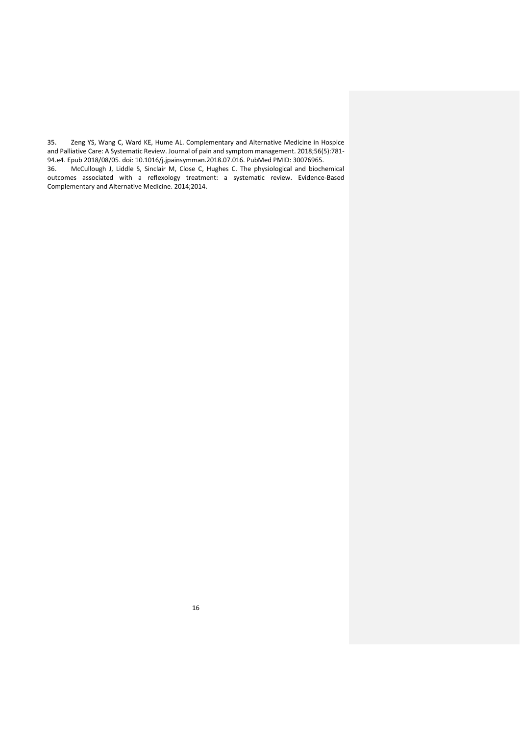<span id="page-15-0"></span>35. Zeng YS, Wang C, Ward KE, Hume AL. Complementary and Alternative Medicine in Hospice and Palliative Care: A Systematic Review. Journal of pain and symptom management. 2018;56(5):781-

<span id="page-15-1"></span>94.e4. Epub 2018/08/05. doi: 10.1016/j.jpainsymman.2018.07.016. PubMed PMID: 30076965.<br>36. McCullough J, Liddle S, Sinclair M, Close C, Hughes C. The physiological and bioch McCullough J, Liddle S, Sinclair M, Close C, Hughes C. The physiological and biochemical outcomes associated with a reflexology treatment: a systematic review. Evidence-Based Complementary and Alternative Medicine. 2014;2014.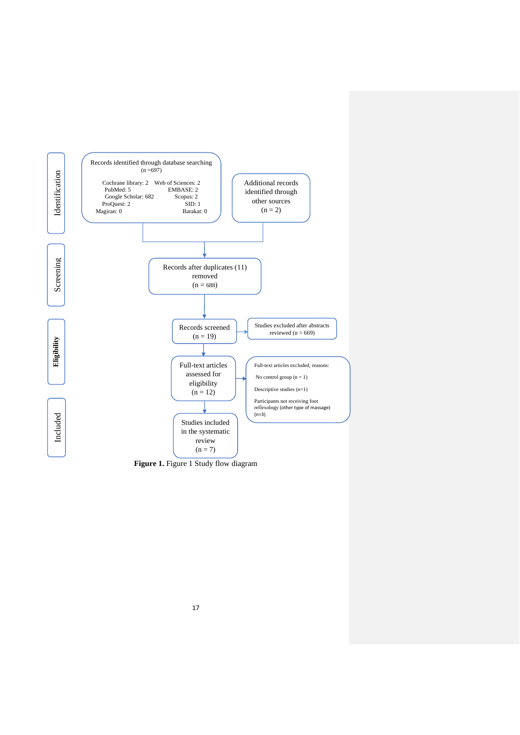

Figure 1. Figure 1 Study flow diagram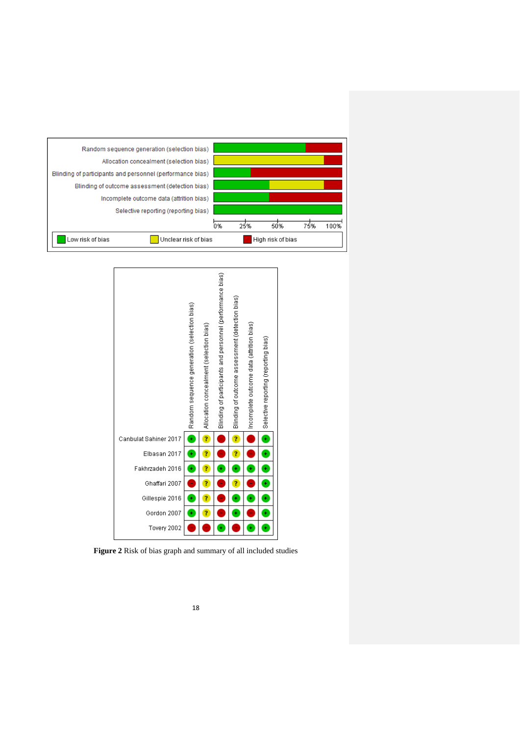



**Figure 2** Risk of bias graph and summary of all included studies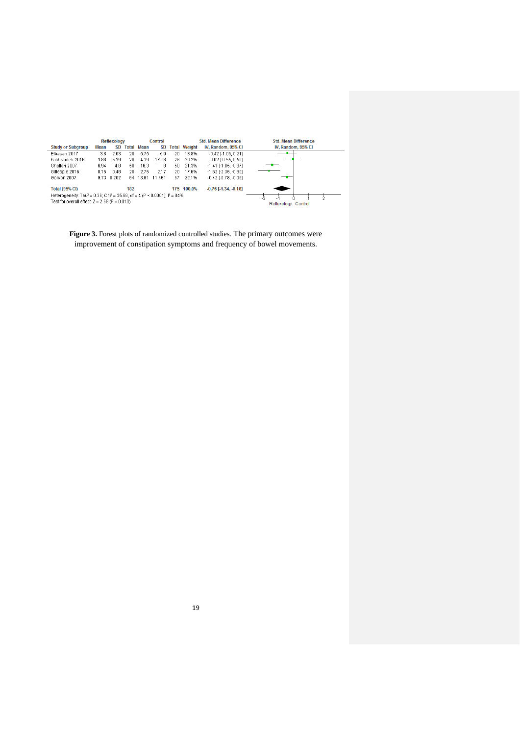

**Figure 3.** Forest plots of randomized controlled studies. The primary outcomes were improvement of constipation symptoms and frequency of bowel movements.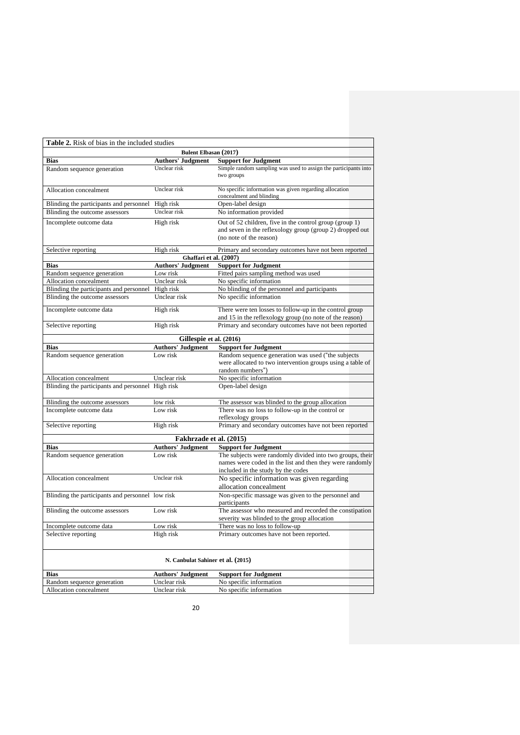| <b>Table 2.</b> Risk of bias in the included studies |                                   |                                                                                                                                                             |  |  |  |  |  |
|------------------------------------------------------|-----------------------------------|-------------------------------------------------------------------------------------------------------------------------------------------------------------|--|--|--|--|--|
|                                                      | <b>Bulent Elbasan (2017)</b>      |                                                                                                                                                             |  |  |  |  |  |
| <b>Bias</b>                                          | <b>Authors' Judgment</b>          | <b>Support for Judgment</b>                                                                                                                                 |  |  |  |  |  |
| Random sequence generation                           | Unclear risk                      | Simple random sampling was used to assign the participants into<br>two groups                                                                               |  |  |  |  |  |
| Allocation concealment                               | Unclear risk                      | No specific information was given regarding allocation<br>concealment and blinding                                                                          |  |  |  |  |  |
| Blinding the participants and personnel              | High risk                         | Open-label design                                                                                                                                           |  |  |  |  |  |
| Blinding the outcome assessors                       | Unclear risk                      | No information provided                                                                                                                                     |  |  |  |  |  |
| Incomplete outcome data                              | High risk                         | Out of 52 children, five in the control group (group 1)<br>and seven in the reflexology group (group 2) dropped out<br>(no note of the reason)              |  |  |  |  |  |
| Selective reporting                                  | High risk                         | Primary and secondary outcomes have not been reported                                                                                                       |  |  |  |  |  |
|                                                      | Ghaffari et al. (2007)            |                                                                                                                                                             |  |  |  |  |  |
| <b>Bias</b>                                          | <b>Authors' Judgment</b>          | <b>Support for Judgment</b>                                                                                                                                 |  |  |  |  |  |
| Random sequence generation                           | Low risk                          | Fitted pairs sampling method was used                                                                                                                       |  |  |  |  |  |
| Allocation concealment                               | Unclear risk                      | No specific information                                                                                                                                     |  |  |  |  |  |
| Blinding the participants and personnel              | High risk                         | No blinding of the personnel and participants                                                                                                               |  |  |  |  |  |
| Blinding the outcome assessors                       | Unclear risk                      | No specific information                                                                                                                                     |  |  |  |  |  |
| Incomplete outcome data                              | High risk                         | There were ten losses to follow-up in the control group<br>and 15 in the reflexology group (no note of the reason)                                          |  |  |  |  |  |
| Selective reporting                                  | High risk                         | Primary and secondary outcomes have not been reported                                                                                                       |  |  |  |  |  |
|                                                      | Gillespie et al. (2016)           |                                                                                                                                                             |  |  |  |  |  |
| <b>Bias</b>                                          | <b>Authors' Judgment</b>          | <b>Support for Judgment</b>                                                                                                                                 |  |  |  |  |  |
| Random sequence generation                           | Low risk                          | Random sequence generation was used ("the subjects<br>were allocated to two intervention groups using a table of<br>random numbers")                        |  |  |  |  |  |
| Allocation concealment                               | Unclear risk                      | No specific information                                                                                                                                     |  |  |  |  |  |
| Blinding the participants and personnel High risk    |                                   | Open-label design                                                                                                                                           |  |  |  |  |  |
| Blinding the outcome assessors                       | low risk                          | The assessor was blinded to the group allocation                                                                                                            |  |  |  |  |  |
| Incomplete outcome data                              | Low risk                          | There was no loss to follow-up in the control or<br>reflexology groups                                                                                      |  |  |  |  |  |
| Selective reporting                                  | High risk                         | Primary and secondary outcomes have not been reported                                                                                                       |  |  |  |  |  |
|                                                      | Fakhrzade et al. (2015)           |                                                                                                                                                             |  |  |  |  |  |
| <b>Bias</b>                                          | <b>Authors' Judgment</b>          | <b>Support for Judgment</b>                                                                                                                                 |  |  |  |  |  |
| Random sequence generation                           | Low risk                          | The subjects were randomly divided into two groups, their<br>names were coded in the list and then they were randomly<br>included in the study by the codes |  |  |  |  |  |
| Allocation concealment                               | Unclear risk                      | No specific information was given regarding<br>allocation concealment                                                                                       |  |  |  |  |  |
| Blinding the participants and personnel low risk     |                                   | Non-specific massage was given to the personnel and<br>participants                                                                                         |  |  |  |  |  |
| Blinding the outcome assessors                       | Low risk                          | The assessor who measured and recorded the constipation<br>severity was blinded to the group allocation                                                     |  |  |  |  |  |
| Incomplete outcome data                              | Low risk                          | There was no loss to follow-up                                                                                                                              |  |  |  |  |  |
| Selective reporting                                  | High risk                         | Primary outcomes have not been reported.                                                                                                                    |  |  |  |  |  |
|                                                      | N. Canbulat Sahiner et al. (2015) |                                                                                                                                                             |  |  |  |  |  |
| <b>Bias</b>                                          | <b>Authors' Judgment</b>          | <b>Support for Judgment</b>                                                                                                                                 |  |  |  |  |  |
| Random sequence generation                           | Unclear risk                      | No specific information                                                                                                                                     |  |  |  |  |  |
| Allocation concealment                               | Unclear risk                      | No specific information                                                                                                                                     |  |  |  |  |  |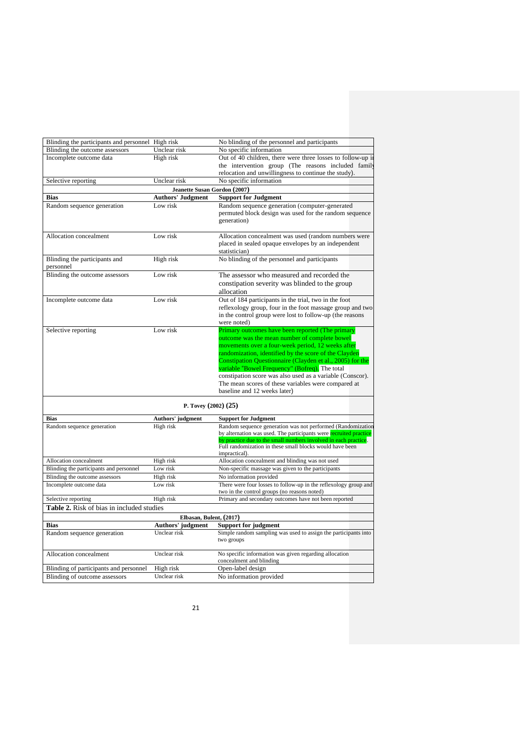| Blinding the outcome assessors<br>Unclear risk<br>No specific information<br>Incomplete outcome data<br>High risk<br>Out of 40 children, there were three losses to follow-up in<br>the intervention group (The reasons included family<br>relocation and unwillingness to continue the study).<br>Unclear risk<br>No specific information<br>Selective reporting<br>Jeanette Susan Gordon (2007)<br><b>Support for Judgment</b><br><b>Bias</b><br><b>Authors' Judgment</b><br>Low risk<br>Random sequence generation (computer-generated<br>Random sequence generation<br>permuted block design was used for the random sequence<br>generation)<br>Allocation concealment<br>Low risk<br>Allocation concealment was used (random numbers were<br>placed in sealed opaque envelopes by an independent<br>statistician)<br>No blinding of the personnel and participants<br>Blinding the participants and<br>High risk<br>personnel<br>Blinding the outcome assessors<br>Low risk<br>The assessor who measured and recorded the<br>constipation severity was blinded to the group<br>allocation<br>Out of 184 participants in the trial, two in the foot<br>Incomplete outcome data<br>Low risk<br>reflexology group, four in the foot massage group and two<br>in the control group were lost to follow-up (the reasons<br>were noted)<br>Selective reporting<br>Low risk<br>Primary outcomes have been reported (The primary<br>outcome was the mean number of complete bowel<br>movements over a four-week period, 12 weeks after<br>randomization, identified by the score of the Clayden<br>Constipation Questionnaire (Clayden et al., 2005) for the<br>variable "Bowel Frequency" (Bofreq). The total<br>constipation score was also used as a variable (Conscor).<br>The mean scores of these variables were compared at<br>baseline and 12 weeks later)<br>P. Tovey (2002) (25)<br><b>Bias</b><br>Authors' judgment<br><b>Support for Judgment</b><br>Random sequence generation was not performed (Randomization<br>Random sequence generation<br>High risk<br>by alternation was used. The participants were <b>recruited practice</b><br>by practice due to the small numbers involved in each practice.<br>Full randomization in these small blocks would have been<br>impractical).<br>Allocation concealment and blinding was not used<br>Allocation concealment<br>High risk<br>Blinding the participants and personnel<br>Low risk<br>Non-specific massage was given to the participants<br>Blinding the outcome assessors<br>High risk<br>No information provided<br>Low risk<br>There were four losses to follow-up in the reflexology group and<br>Incomplete outcome data<br>two in the control groups (no reasons noted)<br>High risk<br>Selective reporting<br>Primary and secondary outcomes have not been reported<br><b>Table 2.</b> Risk of bias in included studies<br>Elbasan, Bulent, (2017)<br><b>Bias</b><br><b>Authors'</b> judgment<br><b>Support for judgment</b><br>Simple random sampling was used to assign the participants into<br>Unclear risk<br>Random sequence generation<br>two groups | Blinding the participants and personnel High risk | No blinding of the personnel and participants |
|------------------------------------------------------------------------------------------------------------------------------------------------------------------------------------------------------------------------------------------------------------------------------------------------------------------------------------------------------------------------------------------------------------------------------------------------------------------------------------------------------------------------------------------------------------------------------------------------------------------------------------------------------------------------------------------------------------------------------------------------------------------------------------------------------------------------------------------------------------------------------------------------------------------------------------------------------------------------------------------------------------------------------------------------------------------------------------------------------------------------------------------------------------------------------------------------------------------------------------------------------------------------------------------------------------------------------------------------------------------------------------------------------------------------------------------------------------------------------------------------------------------------------------------------------------------------------------------------------------------------------------------------------------------------------------------------------------------------------------------------------------------------------------------------------------------------------------------------------------------------------------------------------------------------------------------------------------------------------------------------------------------------------------------------------------------------------------------------------------------------------------------------------------------------------------------------------------------------------------------------------------------------------------------------------------------------------------------------------------------------------------------------------------------------------------------------------------------------------------------------------------------------------------------------------------------------------------------------------------------------------------------------------------------------------------------------------------------------------------------------------------------------------------------------------------------------------------------------------------------------------------------------------------------------------------------------------------------------------------------------------------------------------------------------------------------------------------------------------------------------------------|---------------------------------------------------|-----------------------------------------------|
|                                                                                                                                                                                                                                                                                                                                                                                                                                                                                                                                                                                                                                                                                                                                                                                                                                                                                                                                                                                                                                                                                                                                                                                                                                                                                                                                                                                                                                                                                                                                                                                                                                                                                                                                                                                                                                                                                                                                                                                                                                                                                                                                                                                                                                                                                                                                                                                                                                                                                                                                                                                                                                                                                                                                                                                                                                                                                                                                                                                                                                                                                                                                    |                                                   |                                               |
|                                                                                                                                                                                                                                                                                                                                                                                                                                                                                                                                                                                                                                                                                                                                                                                                                                                                                                                                                                                                                                                                                                                                                                                                                                                                                                                                                                                                                                                                                                                                                                                                                                                                                                                                                                                                                                                                                                                                                                                                                                                                                                                                                                                                                                                                                                                                                                                                                                                                                                                                                                                                                                                                                                                                                                                                                                                                                                                                                                                                                                                                                                                                    |                                                   |                                               |
|                                                                                                                                                                                                                                                                                                                                                                                                                                                                                                                                                                                                                                                                                                                                                                                                                                                                                                                                                                                                                                                                                                                                                                                                                                                                                                                                                                                                                                                                                                                                                                                                                                                                                                                                                                                                                                                                                                                                                                                                                                                                                                                                                                                                                                                                                                                                                                                                                                                                                                                                                                                                                                                                                                                                                                                                                                                                                                                                                                                                                                                                                                                                    |                                                   |                                               |
|                                                                                                                                                                                                                                                                                                                                                                                                                                                                                                                                                                                                                                                                                                                                                                                                                                                                                                                                                                                                                                                                                                                                                                                                                                                                                                                                                                                                                                                                                                                                                                                                                                                                                                                                                                                                                                                                                                                                                                                                                                                                                                                                                                                                                                                                                                                                                                                                                                                                                                                                                                                                                                                                                                                                                                                                                                                                                                                                                                                                                                                                                                                                    |                                                   |                                               |
|                                                                                                                                                                                                                                                                                                                                                                                                                                                                                                                                                                                                                                                                                                                                                                                                                                                                                                                                                                                                                                                                                                                                                                                                                                                                                                                                                                                                                                                                                                                                                                                                                                                                                                                                                                                                                                                                                                                                                                                                                                                                                                                                                                                                                                                                                                                                                                                                                                                                                                                                                                                                                                                                                                                                                                                                                                                                                                                                                                                                                                                                                                                                    |                                                   |                                               |
|                                                                                                                                                                                                                                                                                                                                                                                                                                                                                                                                                                                                                                                                                                                                                                                                                                                                                                                                                                                                                                                                                                                                                                                                                                                                                                                                                                                                                                                                                                                                                                                                                                                                                                                                                                                                                                                                                                                                                                                                                                                                                                                                                                                                                                                                                                                                                                                                                                                                                                                                                                                                                                                                                                                                                                                                                                                                                                                                                                                                                                                                                                                                    |                                                   |                                               |
|                                                                                                                                                                                                                                                                                                                                                                                                                                                                                                                                                                                                                                                                                                                                                                                                                                                                                                                                                                                                                                                                                                                                                                                                                                                                                                                                                                                                                                                                                                                                                                                                                                                                                                                                                                                                                                                                                                                                                                                                                                                                                                                                                                                                                                                                                                                                                                                                                                                                                                                                                                                                                                                                                                                                                                                                                                                                                                                                                                                                                                                                                                                                    |                                                   |                                               |
|                                                                                                                                                                                                                                                                                                                                                                                                                                                                                                                                                                                                                                                                                                                                                                                                                                                                                                                                                                                                                                                                                                                                                                                                                                                                                                                                                                                                                                                                                                                                                                                                                                                                                                                                                                                                                                                                                                                                                                                                                                                                                                                                                                                                                                                                                                                                                                                                                                                                                                                                                                                                                                                                                                                                                                                                                                                                                                                                                                                                                                                                                                                                    |                                                   |                                               |
|                                                                                                                                                                                                                                                                                                                                                                                                                                                                                                                                                                                                                                                                                                                                                                                                                                                                                                                                                                                                                                                                                                                                                                                                                                                                                                                                                                                                                                                                                                                                                                                                                                                                                                                                                                                                                                                                                                                                                                                                                                                                                                                                                                                                                                                                                                                                                                                                                                                                                                                                                                                                                                                                                                                                                                                                                                                                                                                                                                                                                                                                                                                                    |                                                   |                                               |
|                                                                                                                                                                                                                                                                                                                                                                                                                                                                                                                                                                                                                                                                                                                                                                                                                                                                                                                                                                                                                                                                                                                                                                                                                                                                                                                                                                                                                                                                                                                                                                                                                                                                                                                                                                                                                                                                                                                                                                                                                                                                                                                                                                                                                                                                                                                                                                                                                                                                                                                                                                                                                                                                                                                                                                                                                                                                                                                                                                                                                                                                                                                                    |                                                   |                                               |
|                                                                                                                                                                                                                                                                                                                                                                                                                                                                                                                                                                                                                                                                                                                                                                                                                                                                                                                                                                                                                                                                                                                                                                                                                                                                                                                                                                                                                                                                                                                                                                                                                                                                                                                                                                                                                                                                                                                                                                                                                                                                                                                                                                                                                                                                                                                                                                                                                                                                                                                                                                                                                                                                                                                                                                                                                                                                                                                                                                                                                                                                                                                                    |                                                   |                                               |
|                                                                                                                                                                                                                                                                                                                                                                                                                                                                                                                                                                                                                                                                                                                                                                                                                                                                                                                                                                                                                                                                                                                                                                                                                                                                                                                                                                                                                                                                                                                                                                                                                                                                                                                                                                                                                                                                                                                                                                                                                                                                                                                                                                                                                                                                                                                                                                                                                                                                                                                                                                                                                                                                                                                                                                                                                                                                                                                                                                                                                                                                                                                                    |                                                   |                                               |
|                                                                                                                                                                                                                                                                                                                                                                                                                                                                                                                                                                                                                                                                                                                                                                                                                                                                                                                                                                                                                                                                                                                                                                                                                                                                                                                                                                                                                                                                                                                                                                                                                                                                                                                                                                                                                                                                                                                                                                                                                                                                                                                                                                                                                                                                                                                                                                                                                                                                                                                                                                                                                                                                                                                                                                                                                                                                                                                                                                                                                                                                                                                                    |                                                   |                                               |
|                                                                                                                                                                                                                                                                                                                                                                                                                                                                                                                                                                                                                                                                                                                                                                                                                                                                                                                                                                                                                                                                                                                                                                                                                                                                                                                                                                                                                                                                                                                                                                                                                                                                                                                                                                                                                                                                                                                                                                                                                                                                                                                                                                                                                                                                                                                                                                                                                                                                                                                                                                                                                                                                                                                                                                                                                                                                                                                                                                                                                                                                                                                                    |                                                   |                                               |
|                                                                                                                                                                                                                                                                                                                                                                                                                                                                                                                                                                                                                                                                                                                                                                                                                                                                                                                                                                                                                                                                                                                                                                                                                                                                                                                                                                                                                                                                                                                                                                                                                                                                                                                                                                                                                                                                                                                                                                                                                                                                                                                                                                                                                                                                                                                                                                                                                                                                                                                                                                                                                                                                                                                                                                                                                                                                                                                                                                                                                                                                                                                                    |                                                   |                                               |
|                                                                                                                                                                                                                                                                                                                                                                                                                                                                                                                                                                                                                                                                                                                                                                                                                                                                                                                                                                                                                                                                                                                                                                                                                                                                                                                                                                                                                                                                                                                                                                                                                                                                                                                                                                                                                                                                                                                                                                                                                                                                                                                                                                                                                                                                                                                                                                                                                                                                                                                                                                                                                                                                                                                                                                                                                                                                                                                                                                                                                                                                                                                                    |                                                   |                                               |
|                                                                                                                                                                                                                                                                                                                                                                                                                                                                                                                                                                                                                                                                                                                                                                                                                                                                                                                                                                                                                                                                                                                                                                                                                                                                                                                                                                                                                                                                                                                                                                                                                                                                                                                                                                                                                                                                                                                                                                                                                                                                                                                                                                                                                                                                                                                                                                                                                                                                                                                                                                                                                                                                                                                                                                                                                                                                                                                                                                                                                                                                                                                                    |                                                   |                                               |
|                                                                                                                                                                                                                                                                                                                                                                                                                                                                                                                                                                                                                                                                                                                                                                                                                                                                                                                                                                                                                                                                                                                                                                                                                                                                                                                                                                                                                                                                                                                                                                                                                                                                                                                                                                                                                                                                                                                                                                                                                                                                                                                                                                                                                                                                                                                                                                                                                                                                                                                                                                                                                                                                                                                                                                                                                                                                                                                                                                                                                                                                                                                                    |                                                   |                                               |
|                                                                                                                                                                                                                                                                                                                                                                                                                                                                                                                                                                                                                                                                                                                                                                                                                                                                                                                                                                                                                                                                                                                                                                                                                                                                                                                                                                                                                                                                                                                                                                                                                                                                                                                                                                                                                                                                                                                                                                                                                                                                                                                                                                                                                                                                                                                                                                                                                                                                                                                                                                                                                                                                                                                                                                                                                                                                                                                                                                                                                                                                                                                                    |                                                   |                                               |
|                                                                                                                                                                                                                                                                                                                                                                                                                                                                                                                                                                                                                                                                                                                                                                                                                                                                                                                                                                                                                                                                                                                                                                                                                                                                                                                                                                                                                                                                                                                                                                                                                                                                                                                                                                                                                                                                                                                                                                                                                                                                                                                                                                                                                                                                                                                                                                                                                                                                                                                                                                                                                                                                                                                                                                                                                                                                                                                                                                                                                                                                                                                                    |                                                   |                                               |
|                                                                                                                                                                                                                                                                                                                                                                                                                                                                                                                                                                                                                                                                                                                                                                                                                                                                                                                                                                                                                                                                                                                                                                                                                                                                                                                                                                                                                                                                                                                                                                                                                                                                                                                                                                                                                                                                                                                                                                                                                                                                                                                                                                                                                                                                                                                                                                                                                                                                                                                                                                                                                                                                                                                                                                                                                                                                                                                                                                                                                                                                                                                                    |                                                   |                                               |
|                                                                                                                                                                                                                                                                                                                                                                                                                                                                                                                                                                                                                                                                                                                                                                                                                                                                                                                                                                                                                                                                                                                                                                                                                                                                                                                                                                                                                                                                                                                                                                                                                                                                                                                                                                                                                                                                                                                                                                                                                                                                                                                                                                                                                                                                                                                                                                                                                                                                                                                                                                                                                                                                                                                                                                                                                                                                                                                                                                                                                                                                                                                                    |                                                   |                                               |
|                                                                                                                                                                                                                                                                                                                                                                                                                                                                                                                                                                                                                                                                                                                                                                                                                                                                                                                                                                                                                                                                                                                                                                                                                                                                                                                                                                                                                                                                                                                                                                                                                                                                                                                                                                                                                                                                                                                                                                                                                                                                                                                                                                                                                                                                                                                                                                                                                                                                                                                                                                                                                                                                                                                                                                                                                                                                                                                                                                                                                                                                                                                                    |                                                   |                                               |
|                                                                                                                                                                                                                                                                                                                                                                                                                                                                                                                                                                                                                                                                                                                                                                                                                                                                                                                                                                                                                                                                                                                                                                                                                                                                                                                                                                                                                                                                                                                                                                                                                                                                                                                                                                                                                                                                                                                                                                                                                                                                                                                                                                                                                                                                                                                                                                                                                                                                                                                                                                                                                                                                                                                                                                                                                                                                                                                                                                                                                                                                                                                                    |                                                   |                                               |
|                                                                                                                                                                                                                                                                                                                                                                                                                                                                                                                                                                                                                                                                                                                                                                                                                                                                                                                                                                                                                                                                                                                                                                                                                                                                                                                                                                                                                                                                                                                                                                                                                                                                                                                                                                                                                                                                                                                                                                                                                                                                                                                                                                                                                                                                                                                                                                                                                                                                                                                                                                                                                                                                                                                                                                                                                                                                                                                                                                                                                                                                                                                                    |                                                   |                                               |
|                                                                                                                                                                                                                                                                                                                                                                                                                                                                                                                                                                                                                                                                                                                                                                                                                                                                                                                                                                                                                                                                                                                                                                                                                                                                                                                                                                                                                                                                                                                                                                                                                                                                                                                                                                                                                                                                                                                                                                                                                                                                                                                                                                                                                                                                                                                                                                                                                                                                                                                                                                                                                                                                                                                                                                                                                                                                                                                                                                                                                                                                                                                                    |                                                   |                                               |
|                                                                                                                                                                                                                                                                                                                                                                                                                                                                                                                                                                                                                                                                                                                                                                                                                                                                                                                                                                                                                                                                                                                                                                                                                                                                                                                                                                                                                                                                                                                                                                                                                                                                                                                                                                                                                                                                                                                                                                                                                                                                                                                                                                                                                                                                                                                                                                                                                                                                                                                                                                                                                                                                                                                                                                                                                                                                                                                                                                                                                                                                                                                                    |                                                   |                                               |
|                                                                                                                                                                                                                                                                                                                                                                                                                                                                                                                                                                                                                                                                                                                                                                                                                                                                                                                                                                                                                                                                                                                                                                                                                                                                                                                                                                                                                                                                                                                                                                                                                                                                                                                                                                                                                                                                                                                                                                                                                                                                                                                                                                                                                                                                                                                                                                                                                                                                                                                                                                                                                                                                                                                                                                                                                                                                                                                                                                                                                                                                                                                                    |                                                   |                                               |
|                                                                                                                                                                                                                                                                                                                                                                                                                                                                                                                                                                                                                                                                                                                                                                                                                                                                                                                                                                                                                                                                                                                                                                                                                                                                                                                                                                                                                                                                                                                                                                                                                                                                                                                                                                                                                                                                                                                                                                                                                                                                                                                                                                                                                                                                                                                                                                                                                                                                                                                                                                                                                                                                                                                                                                                                                                                                                                                                                                                                                                                                                                                                    |                                                   |                                               |
|                                                                                                                                                                                                                                                                                                                                                                                                                                                                                                                                                                                                                                                                                                                                                                                                                                                                                                                                                                                                                                                                                                                                                                                                                                                                                                                                                                                                                                                                                                                                                                                                                                                                                                                                                                                                                                                                                                                                                                                                                                                                                                                                                                                                                                                                                                                                                                                                                                                                                                                                                                                                                                                                                                                                                                                                                                                                                                                                                                                                                                                                                                                                    |                                                   |                                               |
|                                                                                                                                                                                                                                                                                                                                                                                                                                                                                                                                                                                                                                                                                                                                                                                                                                                                                                                                                                                                                                                                                                                                                                                                                                                                                                                                                                                                                                                                                                                                                                                                                                                                                                                                                                                                                                                                                                                                                                                                                                                                                                                                                                                                                                                                                                                                                                                                                                                                                                                                                                                                                                                                                                                                                                                                                                                                                                                                                                                                                                                                                                                                    |                                                   |                                               |
|                                                                                                                                                                                                                                                                                                                                                                                                                                                                                                                                                                                                                                                                                                                                                                                                                                                                                                                                                                                                                                                                                                                                                                                                                                                                                                                                                                                                                                                                                                                                                                                                                                                                                                                                                                                                                                                                                                                                                                                                                                                                                                                                                                                                                                                                                                                                                                                                                                                                                                                                                                                                                                                                                                                                                                                                                                                                                                                                                                                                                                                                                                                                    |                                                   |                                               |
|                                                                                                                                                                                                                                                                                                                                                                                                                                                                                                                                                                                                                                                                                                                                                                                                                                                                                                                                                                                                                                                                                                                                                                                                                                                                                                                                                                                                                                                                                                                                                                                                                                                                                                                                                                                                                                                                                                                                                                                                                                                                                                                                                                                                                                                                                                                                                                                                                                                                                                                                                                                                                                                                                                                                                                                                                                                                                                                                                                                                                                                                                                                                    |                                                   |                                               |
|                                                                                                                                                                                                                                                                                                                                                                                                                                                                                                                                                                                                                                                                                                                                                                                                                                                                                                                                                                                                                                                                                                                                                                                                                                                                                                                                                                                                                                                                                                                                                                                                                                                                                                                                                                                                                                                                                                                                                                                                                                                                                                                                                                                                                                                                                                                                                                                                                                                                                                                                                                                                                                                                                                                                                                                                                                                                                                                                                                                                                                                                                                                                    |                                                   |                                               |
|                                                                                                                                                                                                                                                                                                                                                                                                                                                                                                                                                                                                                                                                                                                                                                                                                                                                                                                                                                                                                                                                                                                                                                                                                                                                                                                                                                                                                                                                                                                                                                                                                                                                                                                                                                                                                                                                                                                                                                                                                                                                                                                                                                                                                                                                                                                                                                                                                                                                                                                                                                                                                                                                                                                                                                                                                                                                                                                                                                                                                                                                                                                                    |                                                   |                                               |
|                                                                                                                                                                                                                                                                                                                                                                                                                                                                                                                                                                                                                                                                                                                                                                                                                                                                                                                                                                                                                                                                                                                                                                                                                                                                                                                                                                                                                                                                                                                                                                                                                                                                                                                                                                                                                                                                                                                                                                                                                                                                                                                                                                                                                                                                                                                                                                                                                                                                                                                                                                                                                                                                                                                                                                                                                                                                                                                                                                                                                                                                                                                                    |                                                   |                                               |
|                                                                                                                                                                                                                                                                                                                                                                                                                                                                                                                                                                                                                                                                                                                                                                                                                                                                                                                                                                                                                                                                                                                                                                                                                                                                                                                                                                                                                                                                                                                                                                                                                                                                                                                                                                                                                                                                                                                                                                                                                                                                                                                                                                                                                                                                                                                                                                                                                                                                                                                                                                                                                                                                                                                                                                                                                                                                                                                                                                                                                                                                                                                                    |                                                   |                                               |
|                                                                                                                                                                                                                                                                                                                                                                                                                                                                                                                                                                                                                                                                                                                                                                                                                                                                                                                                                                                                                                                                                                                                                                                                                                                                                                                                                                                                                                                                                                                                                                                                                                                                                                                                                                                                                                                                                                                                                                                                                                                                                                                                                                                                                                                                                                                                                                                                                                                                                                                                                                                                                                                                                                                                                                                                                                                                                                                                                                                                                                                                                                                                    |                                                   |                                               |
|                                                                                                                                                                                                                                                                                                                                                                                                                                                                                                                                                                                                                                                                                                                                                                                                                                                                                                                                                                                                                                                                                                                                                                                                                                                                                                                                                                                                                                                                                                                                                                                                                                                                                                                                                                                                                                                                                                                                                                                                                                                                                                                                                                                                                                                                                                                                                                                                                                                                                                                                                                                                                                                                                                                                                                                                                                                                                                                                                                                                                                                                                                                                    |                                                   |                                               |
|                                                                                                                                                                                                                                                                                                                                                                                                                                                                                                                                                                                                                                                                                                                                                                                                                                                                                                                                                                                                                                                                                                                                                                                                                                                                                                                                                                                                                                                                                                                                                                                                                                                                                                                                                                                                                                                                                                                                                                                                                                                                                                                                                                                                                                                                                                                                                                                                                                                                                                                                                                                                                                                                                                                                                                                                                                                                                                                                                                                                                                                                                                                                    |                                                   |                                               |
|                                                                                                                                                                                                                                                                                                                                                                                                                                                                                                                                                                                                                                                                                                                                                                                                                                                                                                                                                                                                                                                                                                                                                                                                                                                                                                                                                                                                                                                                                                                                                                                                                                                                                                                                                                                                                                                                                                                                                                                                                                                                                                                                                                                                                                                                                                                                                                                                                                                                                                                                                                                                                                                                                                                                                                                                                                                                                                                                                                                                                                                                                                                                    |                                                   |                                               |
|                                                                                                                                                                                                                                                                                                                                                                                                                                                                                                                                                                                                                                                                                                                                                                                                                                                                                                                                                                                                                                                                                                                                                                                                                                                                                                                                                                                                                                                                                                                                                                                                                                                                                                                                                                                                                                                                                                                                                                                                                                                                                                                                                                                                                                                                                                                                                                                                                                                                                                                                                                                                                                                                                                                                                                                                                                                                                                                                                                                                                                                                                                                                    |                                                   |                                               |
|                                                                                                                                                                                                                                                                                                                                                                                                                                                                                                                                                                                                                                                                                                                                                                                                                                                                                                                                                                                                                                                                                                                                                                                                                                                                                                                                                                                                                                                                                                                                                                                                                                                                                                                                                                                                                                                                                                                                                                                                                                                                                                                                                                                                                                                                                                                                                                                                                                                                                                                                                                                                                                                                                                                                                                                                                                                                                                                                                                                                                                                                                                                                    |                                                   |                                               |
|                                                                                                                                                                                                                                                                                                                                                                                                                                                                                                                                                                                                                                                                                                                                                                                                                                                                                                                                                                                                                                                                                                                                                                                                                                                                                                                                                                                                                                                                                                                                                                                                                                                                                                                                                                                                                                                                                                                                                                                                                                                                                                                                                                                                                                                                                                                                                                                                                                                                                                                                                                                                                                                                                                                                                                                                                                                                                                                                                                                                                                                                                                                                    |                                                   |                                               |
|                                                                                                                                                                                                                                                                                                                                                                                                                                                                                                                                                                                                                                                                                                                                                                                                                                                                                                                                                                                                                                                                                                                                                                                                                                                                                                                                                                                                                                                                                                                                                                                                                                                                                                                                                                                                                                                                                                                                                                                                                                                                                                                                                                                                                                                                                                                                                                                                                                                                                                                                                                                                                                                                                                                                                                                                                                                                                                                                                                                                                                                                                                                                    |                                                   |                                               |
|                                                                                                                                                                                                                                                                                                                                                                                                                                                                                                                                                                                                                                                                                                                                                                                                                                                                                                                                                                                                                                                                                                                                                                                                                                                                                                                                                                                                                                                                                                                                                                                                                                                                                                                                                                                                                                                                                                                                                                                                                                                                                                                                                                                                                                                                                                                                                                                                                                                                                                                                                                                                                                                                                                                                                                                                                                                                                                                                                                                                                                                                                                                                    |                                                   |                                               |
|                                                                                                                                                                                                                                                                                                                                                                                                                                                                                                                                                                                                                                                                                                                                                                                                                                                                                                                                                                                                                                                                                                                                                                                                                                                                                                                                                                                                                                                                                                                                                                                                                                                                                                                                                                                                                                                                                                                                                                                                                                                                                                                                                                                                                                                                                                                                                                                                                                                                                                                                                                                                                                                                                                                                                                                                                                                                                                                                                                                                                                                                                                                                    |                                                   |                                               |
|                                                                                                                                                                                                                                                                                                                                                                                                                                                                                                                                                                                                                                                                                                                                                                                                                                                                                                                                                                                                                                                                                                                                                                                                                                                                                                                                                                                                                                                                                                                                                                                                                                                                                                                                                                                                                                                                                                                                                                                                                                                                                                                                                                                                                                                                                                                                                                                                                                                                                                                                                                                                                                                                                                                                                                                                                                                                                                                                                                                                                                                                                                                                    |                                                   |                                               |
|                                                                                                                                                                                                                                                                                                                                                                                                                                                                                                                                                                                                                                                                                                                                                                                                                                                                                                                                                                                                                                                                                                                                                                                                                                                                                                                                                                                                                                                                                                                                                                                                                                                                                                                                                                                                                                                                                                                                                                                                                                                                                                                                                                                                                                                                                                                                                                                                                                                                                                                                                                                                                                                                                                                                                                                                                                                                                                                                                                                                                                                                                                                                    |                                                   |                                               |

Blinding of participants and personnel High risk Open-label design Blinding of outcome assessors Unclear risk No information provided

Allocation concealment Unclear risk No specific information was given regarding allocation<br>
concealment and blinding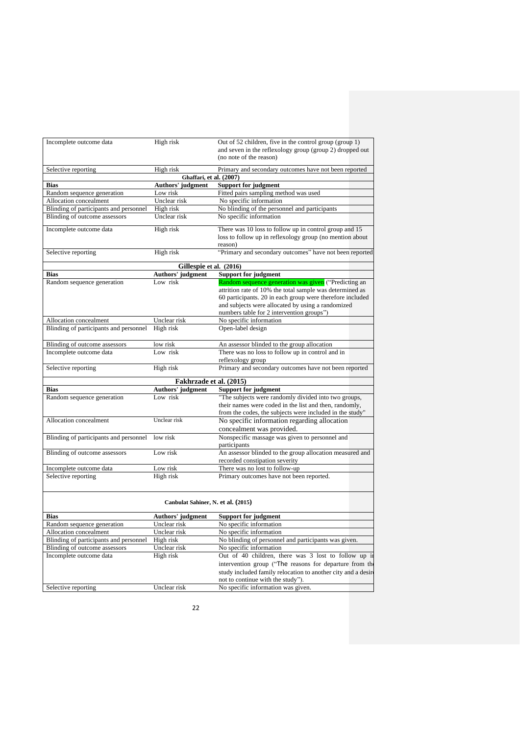| Incomplete outcome data                                                 | High risk                 | Out of 52 children, five in the control group (group 1)<br>and seven in the reflexology group (group 2) dropped out<br>(no note of the reason) |  |  |  |  |  |
|-------------------------------------------------------------------------|---------------------------|------------------------------------------------------------------------------------------------------------------------------------------------|--|--|--|--|--|
| Selective reporting                                                     | High risk                 | Primary and secondary outcomes have not been reported                                                                                          |  |  |  |  |  |
|                                                                         | Ghaffari, et al. (2007)   |                                                                                                                                                |  |  |  |  |  |
| <b>Bias</b>                                                             | <b>Authors'</b> judgment  | Support for judgment                                                                                                                           |  |  |  |  |  |
| Random sequence generation                                              | Low risk                  | Fitted pairs sampling method was used                                                                                                          |  |  |  |  |  |
| Allocation concealment                                                  | Unclear risk              | No specific information                                                                                                                        |  |  |  |  |  |
| Blinding of participants and personnel<br>Blinding of outcome assessors | High risk<br>Unclear risk | No blinding of the personnel and participants<br>No specific information                                                                       |  |  |  |  |  |
|                                                                         |                           |                                                                                                                                                |  |  |  |  |  |
| Incomplete outcome data                                                 | High risk                 | There was 10 loss to follow up in control group and 15                                                                                         |  |  |  |  |  |
|                                                                         |                           | loss to follow up in reflexology group (no mention about                                                                                       |  |  |  |  |  |
|                                                                         |                           | reason)                                                                                                                                        |  |  |  |  |  |
| Selective reporting                                                     | High risk                 | "Primary and secondary outcomes" have not been reported                                                                                        |  |  |  |  |  |
|                                                                         | Gillespie et al. (2016)   |                                                                                                                                                |  |  |  |  |  |
| <b>Bias</b>                                                             | <b>Authors'</b> judgment  | <b>Support for judgment</b>                                                                                                                    |  |  |  |  |  |
| Random sequence generation                                              | Low risk                  | Random sequence generation was given ("Predicting an                                                                                           |  |  |  |  |  |
|                                                                         |                           | attrition rate of 10% the total sample was determined as                                                                                       |  |  |  |  |  |
|                                                                         |                           | 60 participants. 20 in each group were therefore included                                                                                      |  |  |  |  |  |
|                                                                         |                           | and subjects were allocated by using a randomized                                                                                              |  |  |  |  |  |
|                                                                         |                           | numbers table for 2 intervention groups")                                                                                                      |  |  |  |  |  |
| Allocation concealment                                                  | Unclear risk              | No specific information                                                                                                                        |  |  |  |  |  |
| Blinding of participants and personnel                                  | High risk                 | Open-label design                                                                                                                              |  |  |  |  |  |
| Blinding of outcome assessors                                           | low risk                  | An assessor blinded to the group allocation                                                                                                    |  |  |  |  |  |
| Incomplete outcome data                                                 | Low risk                  | There was no loss to follow up in control and in                                                                                               |  |  |  |  |  |
|                                                                         |                           | reflexology group                                                                                                                              |  |  |  |  |  |
| Selective reporting                                                     | High risk                 | Primary and secondary outcomes have not been reported                                                                                          |  |  |  |  |  |
|                                                                         | Fakhrzade et al. (2015)   |                                                                                                                                                |  |  |  |  |  |
| <b>Bias</b>                                                             | <b>Authors'</b> judgment  | <b>Support for judgment</b>                                                                                                                    |  |  |  |  |  |
| Random sequence generation                                              | Low risk                  | "The subjects were randomly divided into two groups,                                                                                           |  |  |  |  |  |
|                                                                         |                           | their names were coded in the list and then, randomly,                                                                                         |  |  |  |  |  |
|                                                                         |                           | from the codes, the subjects were included in the study"                                                                                       |  |  |  |  |  |
| Allocation concealment                                                  | Unclear risk              | No specific information regarding allocation                                                                                                   |  |  |  |  |  |
|                                                                         |                           | concealment was provided.                                                                                                                      |  |  |  |  |  |
| Blinding of participants and personnel                                  | low risk                  | Nonspecific massage was given to personnel and<br>participants                                                                                 |  |  |  |  |  |
| Blinding of outcome assessors                                           | Low risk                  | An assessor blinded to the group allocation measured and                                                                                       |  |  |  |  |  |
|                                                                         |                           | recorded constipation severity                                                                                                                 |  |  |  |  |  |
| Incomplete outcome data                                                 | Low risk                  | There was no lost to follow-up                                                                                                                 |  |  |  |  |  |
| Selective reporting                                                     | High risk                 | Primary outcomes have not been reported.                                                                                                       |  |  |  |  |  |
|                                                                         |                           |                                                                                                                                                |  |  |  |  |  |
| Canbulat Sahiner, N. et al. (2015)                                      |                           |                                                                                                                                                |  |  |  |  |  |
| Bias                                                                    | Authors' judgment         | <b>Support for judgment</b>                                                                                                                    |  |  |  |  |  |
| Random sequence generation                                              | Unclear risk              | No specific information                                                                                                                        |  |  |  |  |  |
| Allocation concealment                                                  | Unclear risk              | No specific information                                                                                                                        |  |  |  |  |  |
| Blinding of participants and personnel                                  | High risk                 | No blinding of personnel and participants was given.                                                                                           |  |  |  |  |  |
| Blinding of outcome assessors<br>Incomplete outcome data                | Unclear risk<br>High risk | No specific information<br>Out of 40 children, there was 3 lost to follow up in                                                                |  |  |  |  |  |
|                                                                         |                           | intervention group ("The reasons for departure from the                                                                                        |  |  |  |  |  |
|                                                                         |                           | study included family relocation to another city and a desire                                                                                  |  |  |  |  |  |
|                                                                         |                           | not to continue with the study").                                                                                                              |  |  |  |  |  |
| Selective reporting                                                     | Unclear risk              | No specific information was given.                                                                                                             |  |  |  |  |  |
|                                                                         |                           |                                                                                                                                                |  |  |  |  |  |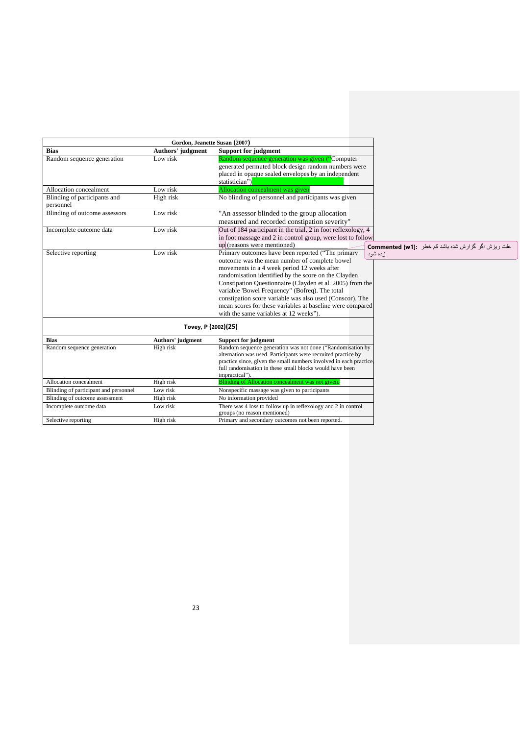|                                           | Gordon, Jeanette Susan (2007) |                                                                                    |  |
|-------------------------------------------|-------------------------------|------------------------------------------------------------------------------------|--|
| <b>Bias</b>                               | <b>Authors'</b> judgment      | <b>Support for judgment</b>                                                        |  |
| Random sequence generation                | Low risk                      | Random sequence generation was given ("Computer                                    |  |
|                                           |                               | generated permuted block design random numbers were                                |  |
|                                           |                               | placed in opaque sealed envelopes by an independent                                |  |
|                                           |                               | statistician")                                                                     |  |
| Allocation concealment                    | Low risk                      | Allocation concealment was given                                                   |  |
| Blinding of participants and<br>personnel | High risk                     | No blinding of personnel and participants was given                                |  |
| Blinding of outcome assessors             | Low risk                      | "An assessor blinded to the group allocation                                       |  |
|                                           |                               | measured and recorded constipation severity"                                       |  |
| Incomplete outcome data                   | Low risk                      | Out of 184 participant in the trial, 2 in foot reflexology, 4                      |  |
|                                           |                               | in foot massage and 2 in control group, were lost to follow                        |  |
|                                           |                               | up (reasons were mentioned)<br>علت ریزش اگر گزارش شده باشد کم خطر .[Commented [w1] |  |
| Selective reporting                       | Low risk                      | Primary outcomes have been reported ("The primary<br>ز ده شو د                     |  |
|                                           |                               | outcome was the mean number of complete bowel                                      |  |
|                                           |                               | movements in a 4 week period 12 weeks after                                        |  |
|                                           |                               | randomisation identified by the score on the Clayden                               |  |
|                                           |                               | Constipation Questionnaire (Clayden et al. 2005) from the                          |  |
|                                           |                               | variable 'Bowel Frequency" (Bofreq). The total                                     |  |
|                                           |                               | constipation score variable was also used (Conscor). The                           |  |
|                                           |                               | mean scores for these variables at baseline were compared                          |  |
|                                           |                               | with the same variables at 12 weeks").                                             |  |
|                                           | Tovey, P (2002)(25)           |                                                                                    |  |
| <b>Bias</b>                               | Authors' judgment             | <b>Support for judgment</b>                                                        |  |
| Random sequence generation                | High risk                     | Random sequence generation was not done ("Randomisation by                         |  |
|                                           |                               | alternation was used. Participants were recruited practice by                      |  |
|                                           |                               | practice since, given the small numbers involved in each practice,                 |  |
|                                           |                               | full randomisation in these small blocks would have been                           |  |
|                                           |                               | impractical").                                                                     |  |
| Allocation concealment                    | High risk                     | Blinding of Allocation concealment was not given.                                  |  |
| Blinding of participant and personnel     | Low risk                      | Nonspecific massage was given to participants                                      |  |
| Blinding of outcome assessment            | High risk                     | No information provided                                                            |  |
| Incomplete outcome data                   | Low risk                      | There was 4 loss to follow up in reflexology and 2 in control                      |  |
|                                           |                               | groups (no reason mentioned)                                                       |  |
| Selective reporting                       | High risk                     | Primary and secondary outcomes not been reported.                                  |  |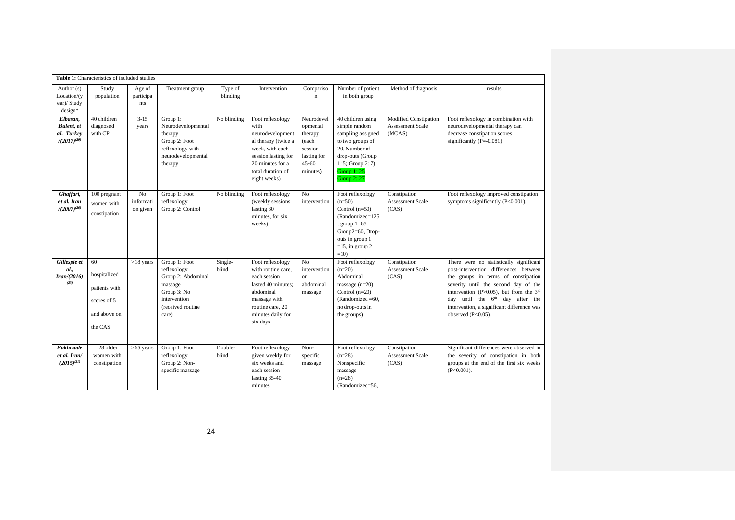| Table 1: Characteristics of included studies             |                                                                               |                                   |                                                                                                                            |                           |                                                                                                                                                                        |                                                                                               |                                                                                                                                                                            |                                                                   |                                                                                                                                                                                                                                                                                                                          |
|----------------------------------------------------------|-------------------------------------------------------------------------------|-----------------------------------|----------------------------------------------------------------------------------------------------------------------------|---------------------------|------------------------------------------------------------------------------------------------------------------------------------------------------------------------|-----------------------------------------------------------------------------------------------|----------------------------------------------------------------------------------------------------------------------------------------------------------------------------|-------------------------------------------------------------------|--------------------------------------------------------------------------------------------------------------------------------------------------------------------------------------------------------------------------------------------------------------------------------------------------------------------------|
| Author (s)<br>Location/(y<br>ear)/ Study<br>design*      | Study<br>population                                                           | Age of<br>participa<br>nts        | Treatment group                                                                                                            | Type of<br>blinding       | Intervention                                                                                                                                                           | Compariso<br>$\mathbf n$                                                                      | Number of patient<br>in both group                                                                                                                                         | Method of diagnosis                                               | results                                                                                                                                                                                                                                                                                                                  |
| Elbasan,<br>Bulent, et<br>al. Turkey<br>$/(2017)^{(20)}$ | 40 children<br>diagnosed<br>with CP                                           | $3-15$<br>years                   | Group 1:<br>Neurodevelopmental<br>therapy<br>Group 2: Foot<br>reflexology with<br>neurodevelopmental<br>therapy            | No blinding               | Foot reflexology<br>with<br>neurodevelopment<br>al therapy (twice a<br>week, with each<br>session lasting for<br>20 minutes for a<br>total duration of<br>eight weeks) | Neurodevel<br>opmental<br>therapy<br>(each<br>session<br>lasting for<br>$45 - 60$<br>minutes) | 40 children using<br>simple random<br>sampling assigned<br>to two groups of<br>20. Number of<br>drop-outs (Group<br>1: 5: Group 2: 7<br>Group $1:25$<br><b>Group 2: 27</b> | <b>Modified Constipation</b><br><b>Assessment Scale</b><br>(MCAS) | Foot reflexology in combination with<br>neurodevelopmental therapy can<br>decrease constipation scores<br>significantly $(P=-0.081)$                                                                                                                                                                                     |
| Ghaffari,<br>et al. Iran<br>$/(2007)^{(26)}$             | 100 pregnant<br>women with<br>constipation                                    | $\rm No$<br>informati<br>on given | Group 1: Foot<br>reflexology<br>Group 2: Control                                                                           | $\overline{N}$ o blinding | Foot reflexology<br>(weekly sessions<br>lasting 30<br>minutes, for six<br>weeks)                                                                                       | No<br>intervention                                                                            | Foot reflexology<br>$(n=50)$<br>Control $(n=50)$<br>(Randomized=125<br>, group $1=65$ ,<br>Group2=60, Drop-<br>outs in group 1<br>$=15$ , in group 2<br>$=10$              | Constipation<br>Assessment Scale<br>(CAS)                         | Foot reflexology improved constipation<br>symptoms significantly (P<0.001).                                                                                                                                                                                                                                              |
| Gillespie et<br>al.,<br>Iran/(2016)<br>(23)              | 60<br>hospitalized<br>patients with<br>scores of 5<br>and above on<br>the CAS | $>18$ years                       | Group 1: Foot<br>reflexology<br>Group 2: Abdominal<br>massage<br>Group 3: No<br>intervention<br>(received routine<br>care) | Single-<br>blind          | Foot reflexology<br>with routine care.<br>each session<br>lasted 40 minutes;<br>abdominal<br>massage with<br>routine care, 20<br>minutes daily for<br>six days         | No<br>intervention<br>or<br>abdominal<br>massage                                              | Foot reflexology<br>$(n=20)$<br>Abdominal<br>massage $(n=20)$<br>Control $(n=20)$<br>$(Randomized = 60.$<br>no drop-outs in<br>the groups)                                 | Constipation<br><b>Assessment Scale</b><br>(CAS)                  | There were no statistically significant<br>post-intervention differences between<br>the groups in terms of constipation<br>severity until the second day of the<br>intervention (P>0.05), but from the $3rd$<br>day until the $6th$ day after the<br>intervention, a significant difference was<br>observed $(P<0.05)$ . |
| Fakhrzade<br>et al. Iran/<br>$(2015)^{(21)}$             | 28 older<br>women with<br>constipation                                        | $>65$ years                       | Group 1: Foot<br>reflexology<br>Group 2: Non-<br>specific massage                                                          | Double-<br>blind          | Foot reflexology<br>given weekly for<br>six weeks and<br>each session<br>lasting 35-40<br>minutes                                                                      | Non-<br>specific<br>massage                                                                   | Foot reflexology<br>$(n=28)$<br>Nonspecific<br>massage<br>$(n=28)$<br>(Randomized=56.                                                                                      | Constipation<br>Assessment Scale<br>(CAS)                         | Significant differences were observed in<br>the severity of constipation in both<br>groups at the end of the first six weeks<br>$(P<0.001)$ .                                                                                                                                                                            |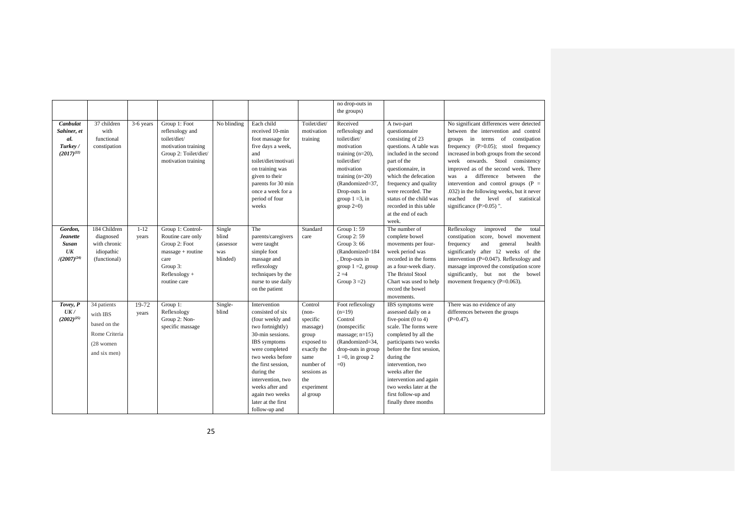|                                                                          |                                                                                       |                   |                                                                                                                                     |                                                 |                                                                                                                                                                                                                                                                                          |                                                                                                                                                       | no drop-outs in<br>the groups)                                                                                                                                                                               |                                                                                                                                                                                                                                                                                                                                    |                                                                                                                                                                                                                                                                                                                                                                                                                                                                                     |
|--------------------------------------------------------------------------|---------------------------------------------------------------------------------------|-------------------|-------------------------------------------------------------------------------------------------------------------------------------|-------------------------------------------------|------------------------------------------------------------------------------------------------------------------------------------------------------------------------------------------------------------------------------------------------------------------------------------------|-------------------------------------------------------------------------------------------------------------------------------------------------------|--------------------------------------------------------------------------------------------------------------------------------------------------------------------------------------------------------------|------------------------------------------------------------------------------------------------------------------------------------------------------------------------------------------------------------------------------------------------------------------------------------------------------------------------------------|-------------------------------------------------------------------------------------------------------------------------------------------------------------------------------------------------------------------------------------------------------------------------------------------------------------------------------------------------------------------------------------------------------------------------------------------------------------------------------------|
| Canbulat<br>Sahiner, et<br>al.<br>Turkey/<br>$(2017)^{(22)}$             | 37 children<br>with<br>functional<br>constipation                                     | 3-6 years         | Group 1: Foot<br>reflexology and<br>toilet/diet/<br>motivation training<br>Group 2: Toilet/diet/<br>motivation training             | No blinding                                     | Each child<br>received 10-min<br>foot massage for<br>five days a week,<br>and<br>toilet/diet/motivati<br>on training was<br>given to their<br>parents for 30 min<br>once a week for a<br>period of four<br>weeks                                                                         | Toilet/diet/<br>motivation<br>training                                                                                                                | Received<br>reflexology and<br>toilet/diet/<br>motivation<br>training $(n=20)$ ,<br>toilet/diet/<br>motivation<br>training $(n=20)$<br>(Randomized=37,<br>Drop-outs in<br>group $1 = 3$ , in<br>$group 2=0)$ | A two-part<br>questionnaire<br>consisting of 23<br>questions. A table was<br>included in the second<br>part of the<br>questionnaire, in<br>which the defecation<br>frequency and quality<br>were recorded. The<br>status of the child was<br>recorded in this table<br>at the end of each<br>week.                                 | No significant differences were detected<br>between the intervention and control<br>groups in terms of constipation<br>frequency $(P>0.05)$ ; stool frequency<br>increased in both groups from the second<br>week onwards. Stool consistency<br>improved as of the second week. There<br>difference between the<br>a<br>was<br>intervention and control groups (P =<br>.032) in the following weeks, but it never<br>reached the level of statistical<br>significance $(P>0.05)$ ". |
| Gordon,<br><b>Jeanette</b><br><b>Susan</b><br>$U\ K$<br>$/(2007)^{(24)}$ | 184 Children<br>diagnosed<br>with chronic<br>idiopathic<br>(functional)               | $1 - 12$<br>years | Group 1: Control-<br>Routine care only<br>Group 2: Foot<br>$massage + routine$<br>care<br>Group 3:<br>Reflexology +<br>routine care | Single<br>blind<br>(assessor<br>was<br>blinded) | The<br>parents/caregivers<br>were taught<br>simple foot<br>massage and<br>reflexology<br>techniques by the<br>nurse to use daily<br>on the patient                                                                                                                                       | Standard<br>care                                                                                                                                      | Group 1: 59<br>Group 2: 59<br>Group 3: 66<br>(Randomized=184<br>, Drop-outs in<br>group $1 = 2$ , group<br>$2 = 4$<br>Group $3 = 2$ )                                                                        | The number of<br>complete bowel<br>movements per four-<br>week period was<br>recorded in the forms<br>as a four-week diary.<br>The Bristol Stool<br>Chart was used to help<br>record the bowel<br>movements.                                                                                                                       | Reflexology<br>improved<br>the<br>total<br>constipation score, bowel movement<br>frequency<br>and<br>general<br>health<br>significantly after 12 weeks of the<br>intervention (P=0.047). Reflexology and<br>massage improved the constipation score<br>significantly, but not the bowel<br>movement frequency (P=0.063).                                                                                                                                                            |
| Tovey, P<br>UK/<br>$(2002)^{(25)}$                                       | 34 patients<br>with IBS<br>based on the<br>Rome Criteria<br>(28 women<br>and six men) | 19-72<br>years    | Group 1:<br>Reflexology<br>Group 2: Non-<br>specific massage                                                                        | Single-<br>blind                                | Intervention<br>consisted of six<br>(four weekly and<br>two fortnightly)<br>30-min sessions.<br>IBS symptoms<br>were completed<br>two weeks before<br>the first session,<br>during the<br>intervention, two<br>weeks after and<br>again two weeks<br>later at the first<br>follow-up and | Control<br>$(non-$<br>specific<br>massage)<br>group<br>exposed to<br>exactly the<br>same<br>number of<br>sessions as<br>the<br>experiment<br>al group | Foot reflexology<br>$(n=19)$<br>Control<br>(nonspecific<br>massage; $n=15$ )<br>(Randomized=34,<br>drop-outs in group<br>$1 = 0$ , in group 2<br>$=0$ )                                                      | IBS symptoms were<br>assessed daily on a<br>five-point $(0 to 4)$<br>scale. The forms were<br>completed by all the<br>participants two weeks<br>before the first session.<br>during the<br>intervention, two<br>weeks after the<br>intervention and again<br>two weeks later at the<br>first follow-up and<br>finally three months | There was no evidence of any<br>differences between the groups<br>$(P=0.47)$ .                                                                                                                                                                                                                                                                                                                                                                                                      |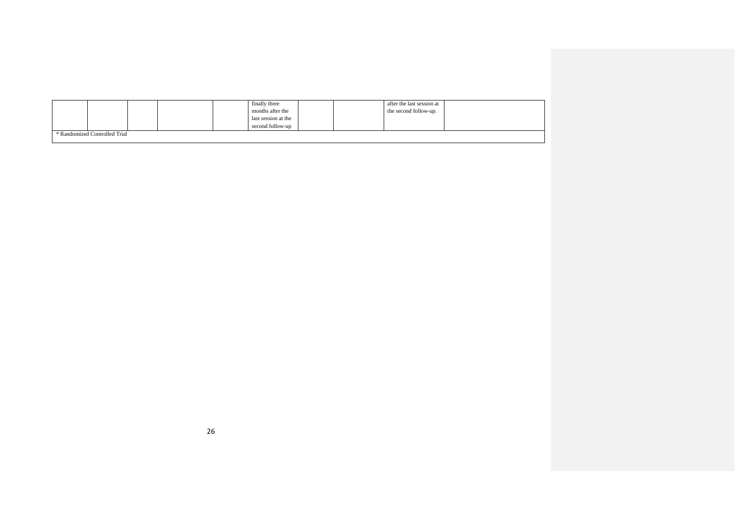|                               |  |  |  |  | finally three       |  | after the last session at |  |
|-------------------------------|--|--|--|--|---------------------|--|---------------------------|--|
|                               |  |  |  |  | months after the    |  | the second follow-up.     |  |
|                               |  |  |  |  | last session at the |  |                           |  |
|                               |  |  |  |  | second follow-up    |  |                           |  |
| * Randomized Controlled Trial |  |  |  |  |                     |  |                           |  |